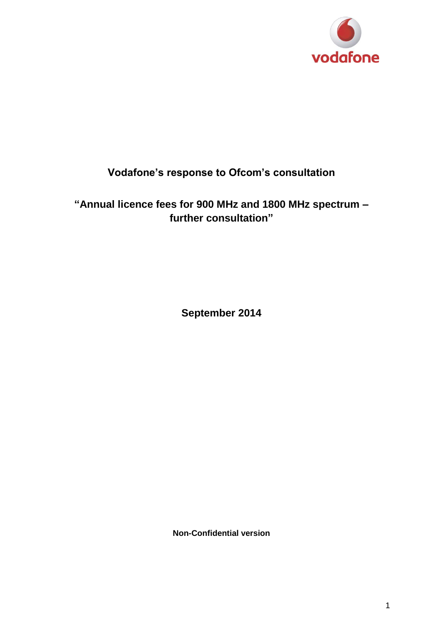

# **Vodafone's response to Ofcom's consultation**

**"Annual licence fees for 900 MHz and 1800 MHz spectrum – further consultation"**

**September 2014**

**Non-Confidential version**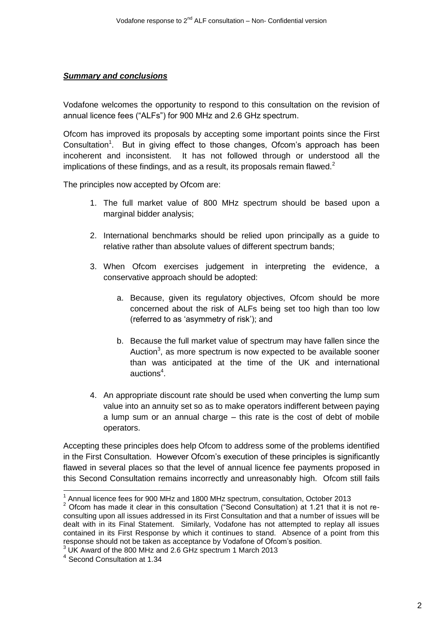#### *Summary and conclusions*

Vodafone welcomes the opportunity to respond to this consultation on the revision of annual licence fees ("ALFs") for 900 MHz and 2.6 GHz spectrum.

Ofcom has improved its proposals by accepting some important points since the First Consultation<sup>1</sup>. But in giving effect to those changes, Ofcom's approach has been incoherent and inconsistent. It has not followed through or understood all the implications of these findings, and as a result, its proposals remain flawed. $2$ 

The principles now accepted by Ofcom are:

- 1. The full market value of 800 MHz spectrum should be based upon a marginal bidder analysis;
- 2. International benchmarks should be relied upon principally as a guide to relative rather than absolute values of different spectrum bands;
- 3. When Ofcom exercises judgement in interpreting the evidence, a conservative approach should be adopted:
	- a. Because, given its regulatory objectives, Ofcom should be more concerned about the risk of ALFs being set too high than too low (referred to as 'asymmetry of risk'); and
	- b. Because the full market value of spectrum may have fallen since the Auction<sup>3</sup>, as more spectrum is now expected to be available sooner than was anticipated at the time of the UK and international auctions<sup>4</sup>.
- 4. An appropriate discount rate should be used when converting the lump sum value into an annuity set so as to make operators indifferent between paying a lump sum or an annual charge – this rate is the cost of debt of mobile operators.

Accepting these principles does help Ofcom to address some of the problems identified in the First Consultation. However Ofcom's execution of these principles is significantly flawed in several places so that the level of annual licence fee payments proposed in this Second Consultation remains incorrectly and unreasonably high. Ofcom still fails

 $\overline{a}$ 

<sup>&</sup>lt;sup>1</sup> Annual licence fees for 900 MHz and 1800 MHz spectrum, consultation, October 2013

<sup>&</sup>lt;sup>2</sup> Ofcom has made it clear in this consultation ("Second Consultation) at 1.21 that it is not reconsulting upon all issues addressed in its First Consultation and that a number of issues will be dealt with in its Final Statement. Similarly, Vodafone has not attempted to replay all issues contained in its First Response by which it continues to stand. Absence of a point from this response should not be taken as acceptance by Vodafone of Ofcom's position.

 $3$  UK Award of the 800 MHz and 2.6 GHz spectrum 1 March 2013

<sup>4</sup> Second Consultation at 1.34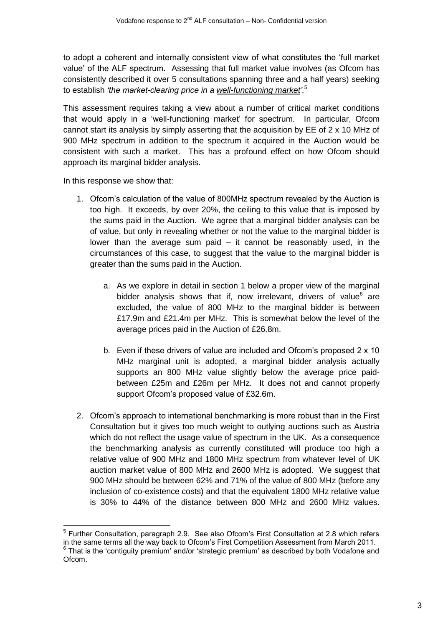to adopt a coherent and internally consistent view of what constitutes the 'full market value' of the ALF spectrum. Assessing that full market value involves (as Ofcom has consistently described it over 5 consultations spanning three and a half years) seeking to establish *'the market-clearing price in a well-functioning market'.*<sup>5</sup>

This assessment requires taking a view about a number of critical market conditions that would apply in a 'well-functioning market' for spectrum. In particular, Ofcom cannot start its analysis by simply asserting that the acquisition by EE of 2 x 10 MHz of 900 MHz spectrum in addition to the spectrum it acquired in the Auction would be consistent with such a market. This has a profound effect on how Ofcom should approach its marginal bidder analysis.

In this response we show that:

- 1. Ofcom's calculation of the value of 800MHz spectrum revealed by the Auction is too high. It exceeds, by over 20%, the ceiling to this value that is imposed by the sums paid in the Auction. We agree that a marginal bidder analysis can be of value, but only in revealing whether or not the value to the marginal bidder is lower than the average sum paid – it cannot be reasonably used, in the circumstances of this case, to suggest that the value to the marginal bidder is greater than the sums paid in the Auction.
	- a. As we explore in detail in section 1 below a proper view of the marginal bidder analysis shows that if, now irrelevant, drivers of value<sup>6</sup> are excluded, the value of 800 MHz to the marginal bidder is between £17.9m and £21.4m per MHz. This is somewhat below the level of the average prices paid in the Auction of £26.8m.
	- b. Even if these drivers of value are included and Ofcom's proposed 2 x 10 MHz marginal unit is adopted, a marginal bidder analysis actually supports an 800 MHz value slightly below the average price paidbetween £25m and £26m per MHz. It does not and cannot properly support Ofcom's proposed value of £32.6m.
- 2. Ofcom's approach to international benchmarking is more robust than in the First Consultation but it gives too much weight to outlying auctions such as Austria which do not reflect the usage value of spectrum in the UK. As a consequence the benchmarking analysis as currently constituted will produce too high a relative value of 900 MHz and 1800 MHz spectrum from whatever level of UK auction market value of 800 MHz and 2600 MHz is adopted. We suggest that 900 MHz should be between 62% and 71% of the value of 800 MHz (before any inclusion of co-existence costs) and that the equivalent 1800 MHz relative value is 30% to 44% of the distance between 800 MHz and 2600 MHz values.

<sup>1</sup> <sup>5</sup> Further Consultation, paragraph 2.9. See also Ofcom's First Consultation at 2.8 which refers in the same terms all the way back to Ofcom's First Competition Assessment from March 2011. <sup>6</sup> That is the 'contiguity premium' and/or 'strategic premium' as described by both Vodafone and Ofcom.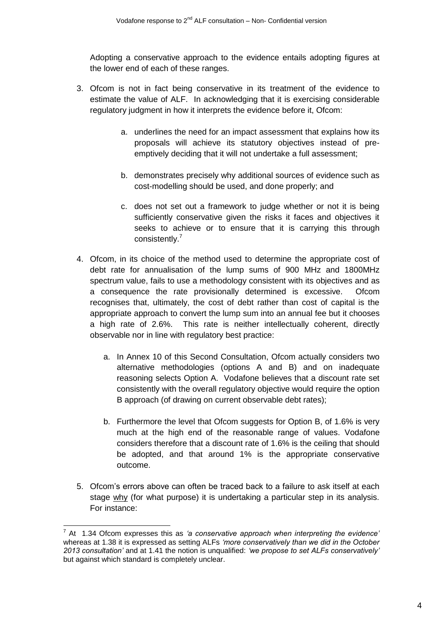Adopting a conservative approach to the evidence entails adopting figures at the lower end of each of these ranges.

- 3. Ofcom is not in fact being conservative in its treatment of the evidence to estimate the value of ALF. In acknowledging that it is exercising considerable regulatory judgment in how it interprets the evidence before it, Ofcom:
	- a. underlines the need for an impact assessment that explains how its proposals will achieve its statutory objectives instead of preemptively deciding that it will not undertake a full assessment;
	- b. demonstrates precisely why additional sources of evidence such as cost-modelling should be used, and done properly; and
	- c. does not set out a framework to judge whether or not it is being sufficiently conservative given the risks it faces and objectives it seeks to achieve or to ensure that it is carrying this through consistently.<sup>7</sup>
- 4. Ofcom, in its choice of the method used to determine the appropriate cost of debt rate for annualisation of the lump sums of 900 MHz and 1800MHz spectrum value, fails to use a methodology consistent with its objectives and as a consequence the rate provisionally determined is excessive. Ofcom recognises that, ultimately, the cost of debt rather than cost of capital is the appropriate approach to convert the lump sum into an annual fee but it chooses a high rate of 2.6%. This rate is neither intellectually coherent, directly observable nor in line with regulatory best practice:
	- a. In Annex 10 of this Second Consultation, Ofcom actually considers two alternative methodologies (options A and B) and on inadequate reasoning selects Option A. Vodafone believes that a discount rate set consistently with the overall regulatory objective would require the option B approach (of drawing on current observable debt rates);
	- b. Furthermore the level that Ofcom suggests for Option B, of 1.6% is very much at the high end of the reasonable range of values. Vodafone considers therefore that a discount rate of 1.6% is the ceiling that should be adopted, and that around 1% is the appropriate conservative outcome.
- 5. Ofcom's errors above can often be traced back to a failure to ask itself at each stage why (for what purpose) it is undertaking a particular step in its analysis. For instance:

1

<sup>7</sup> At 1.34 Ofcom expresses this as *'a conservative approach when interpreting the evidence'* whereas at 1.38 it is expressed as setting ALFs *'more conservatively than we did in the October 2013 consultation'* and at 1.41 the notion is unqualified: *'we propose to set ALFs conservatively'* but against which standard is completely unclear.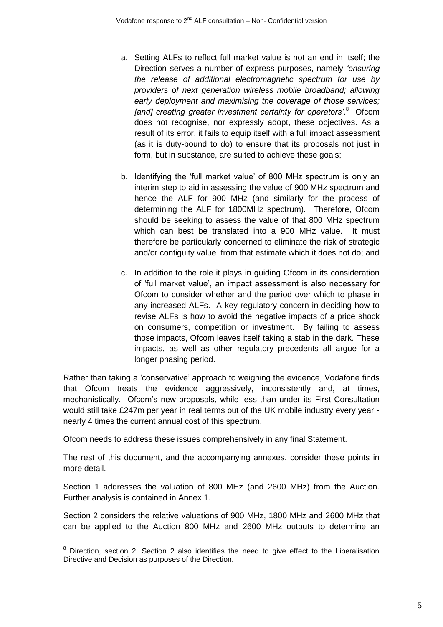- a. Setting ALFs to reflect full market value is not an end in itself; the Direction serves a number of express purposes, namely *'ensuring the release of additional electromagnetic spectrum for use by providers of next generation wireless mobile broadband; allowing early deployment and maximising the coverage of those services;*  [and] creating greater investment certainty for operators'.<sup>8</sup> Ofcom does not recognise, nor expressly adopt, these objectives. As a result of its error, it fails to equip itself with a full impact assessment (as it is duty-bound to do) to ensure that its proposals not just in form, but in substance, are suited to achieve these goals;
- b. Identifying the 'full market value' of 800 MHz spectrum is only an interim step to aid in assessing the value of 900 MHz spectrum and hence the ALF for 900 MHz (and similarly for the process of determining the ALF for 1800MHz spectrum). Therefore, Ofcom should be seeking to assess the value of that 800 MHz spectrum which can best be translated into a 900 MHz value. It must therefore be particularly concerned to eliminate the risk of strategic and/or contiguity value from that estimate which it does not do; and
- c. In addition to the role it plays in guiding Ofcom in its consideration of 'full market value', an impact assessment is also necessary for Ofcom to consider whether and the period over which to phase in any increased ALFs. A key regulatory concern in deciding how to revise ALFs is how to avoid the negative impacts of a price shock on consumers, competition or investment. By failing to assess those impacts, Ofcom leaves itself taking a stab in the dark. These impacts, as well as other regulatory precedents all argue for a longer phasing period.

Rather than taking a 'conservative' approach to weighing the evidence, Vodafone finds that Ofcom treats the evidence aggressively, inconsistently and, at times, mechanistically. Ofcom's new proposals, while less than under its First Consultation would still take £247m per year in real terms out of the UK mobile industry every year nearly 4 times the current annual cost of this spectrum.

Ofcom needs to address these issues comprehensively in any final Statement.

The rest of this document, and the accompanying annexes, consider these points in more detail.

Section 1 addresses the valuation of 800 MHz (and 2600 MHz) from the Auction. Further analysis is contained in Annex 1.

Section 2 considers the relative valuations of 900 MHz, 1800 MHz and 2600 MHz that can be applied to the Auction 800 MHz and 2600 MHz outputs to determine an

  $8$  Direction, section 2. Section 2 also identifies the need to give effect to the Liberalisation Directive and Decision as purposes of the Direction.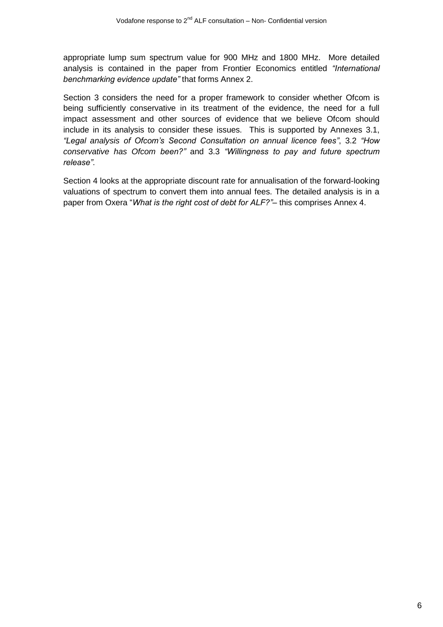appropriate lump sum spectrum value for 900 MHz and 1800 MHz. More detailed analysis is contained in the paper from Frontier Economics entitled *"International benchmarking evidence update"* that forms Annex 2.

Section 3 considers the need for a proper framework to consider whether Ofcom is being sufficiently conservative in its treatment of the evidence, the need for a full impact assessment and other sources of evidence that we believe Ofcom should include in its analysis to consider these issues. This is supported by Annexes 3.1, *"Legal analysis of Ofcom's Second Consultation on annual licence fees"*, 3.2 *"How conservative has Ofcom been?"* and 3.3 *"Willingness to pay and future spectrum release"*.

Section 4 looks at the appropriate discount rate for annualisation of the forward-looking valuations of spectrum to convert them into annual fees. The detailed analysis is in a paper from Oxera "*What is the right cost of debt for ALF?"*– this comprises Annex 4.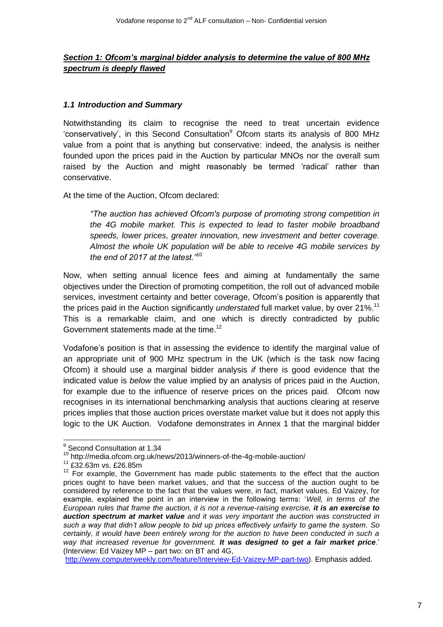# *Section 1: Ofcom's marginal bidder analysis to determine the value of 800 MHz spectrum is deeply flawed*

### *1.1 Introduction and Summary*

Notwithstanding its claim to recognise the need to treat uncertain evidence 'conservatively', in this Second Consultation<sup>9</sup> Ofcom starts its analysis of 800 MHz value from a point that is anything but conservative: indeed, the analysis is neither founded upon the prices paid in the Auction by particular MNOs nor the overall sum raised by the Auction and might reasonably be termed 'radical' rather than conservative.

At the time of the Auction, Ofcom declared:

*"The auction has achieved Ofcom's purpose of promoting strong competition in the 4G mobile market. This is expected to lead to faster mobile broadband speeds, lower prices, greater innovation, new investment and better coverage. Almost the whole UK population will be able to receive 4G mobile services by the end of 2017 at the latest."*<sup>10</sup>

Now, when setting annual licence fees and aiming at fundamentally the same objectives under the Direction of promoting competition, the roll out of advanced mobile services, investment certainty and better coverage, Ofcom's position is apparently that the prices paid in the Auction significantly *understated* full market value, by over 21%. 11 This is a remarkable claim, and one which is directly contradicted by public Government statements made at the time.<sup>12</sup>

Vodafone's position is that in assessing the evidence to identify the marginal value of an appropriate unit of 900 MHz spectrum in the UK (which is the task now facing Ofcom) it should use a marginal bidder analysis *if* there is good evidence that the indicated value is *below* the value implied by an analysis of prices paid in the Auction, for example due to the influence of reserve prices on the prices paid. Ofcom now recognises in its international benchmarking analysis that auctions clearing at reserve prices implies that those auction prices overstate market value but it does not apply this logic to the UK Auction. Vodafone demonstrates in Annex 1 that the marginal bidder

 9 Second Consultation at 1.34

<sup>10</sup> http://media.ofcom.org.uk/news/2013/winners-of-the-4g-mobile-auction/

<sup>11</sup> £32.63m vs. £26.85m

 $12$  For example, the Government has made public statements to the effect that the auction prices ought to have been market values, and that the success of the auction ought to be considered by reference to the fact that the values were, in fact, market values. Ed Vaizey, for example, explained the point in an interview in the following terms: '*Well, in terms of the European rules that frame the auction, it is not a revenue-raising exercise, it is an exercise to auction spectrum at market value and it was very important the auction was constructed in such a way that didn't allow people to bid up prices effectively unfairly to game the system. So certainly, it would have been entirely wrong for the auction to have been conducted in such a way that increased revenue for government. It was designed to get a fair market price*.' (Interview: Ed Vaizey MP – part two: on BT and 4G,

[http://www.computerweekly.com/feature/Interview-Ed-Vaizey-MP-part-two\)](http://www.computerweekly.com/feature/Interview-Ed-Vaizey-MP-part-two). Emphasis added.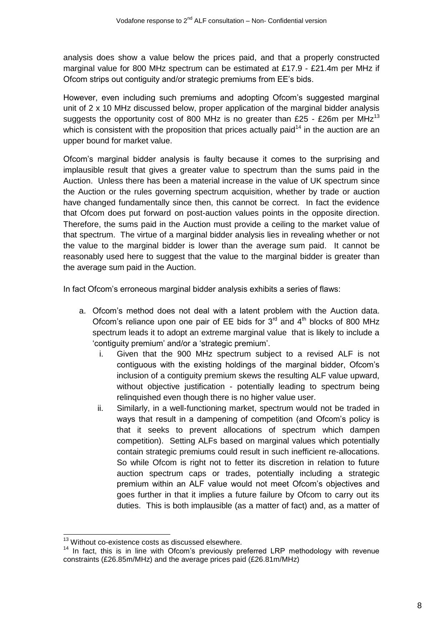analysis does show a value below the prices paid, and that a properly constructed marginal value for 800 MHz spectrum can be estimated at £17.9 - £21.4m per MHz if Ofcom strips out contiguity and/or strategic premiums from EE's bids.

However, even including such premiums and adopting Ofcom's suggested marginal unit of 2 x 10 MHz discussed below, proper application of the marginal bidder analysis suggests the opportunity cost of 800 MHz is no greater than £25 - £26m per MHz<sup>13</sup> which is consistent with the proposition that prices actually paid<sup> $14$ </sup> in the auction are an upper bound for market value.

Ofcom's marginal bidder analysis is faulty because it comes to the surprising and implausible result that gives a greater value to spectrum than the sums paid in the Auction. Unless there has been a material increase in the value of UK spectrum since the Auction or the rules governing spectrum acquisition, whether by trade or auction have changed fundamentally since then, this cannot be correct. In fact the evidence that Ofcom does put forward on post-auction values points in the opposite direction. Therefore, the sums paid in the Auction must provide a ceiling to the market value of that spectrum. The virtue of a marginal bidder analysis lies in revealing whether or not the value to the marginal bidder is lower than the average sum paid. It cannot be reasonably used here to suggest that the value to the marginal bidder is greater than the average sum paid in the Auction.

In fact Ofcom's erroneous marginal bidder analysis exhibits a series of flaws:

- a. Ofcom's method does not deal with a latent problem with the Auction data. Ofcom's reliance upon one pair of EE bids for  $3<sup>rd</sup>$  and  $4<sup>th</sup>$  blocks of 800 MHz spectrum leads it to adopt an extreme marginal value that is likely to include a 'contiguity premium' and/or a 'strategic premium'.
	- i. Given that the 900 MHz spectrum subject to a revised ALF is not contiguous with the existing holdings of the marginal bidder, Ofcom's inclusion of a contiguity premium skews the resulting ALF value upward, without objective justification - potentially leading to spectrum being relinquished even though there is no higher value user.
	- ii. Similarly, in a well-functioning market, spectrum would not be traded in ways that result in a dampening of competition (and Ofcom's policy is that it seeks to prevent allocations of spectrum which dampen competition). Setting ALFs based on marginal values which potentially contain strategic premiums could result in such inefficient re-allocations. So while Ofcom is right not to fetter its discretion in relation to future auction spectrum caps or trades, potentially including a strategic premium within an ALF value would not meet Ofcom's objectives and goes further in that it implies a future failure by Ofcom to carry out its duties. This is both implausible (as a matter of fact) and, as a matter of

 $\overline{1}$  $13$  Without co-existence costs as discussed elsewhere.

 $14$  In fact, this is in line with Ofcom's previously preferred LRP methodology with revenue constraints (£26.85m/MHz) and the average prices paid (£26.81m/MHz)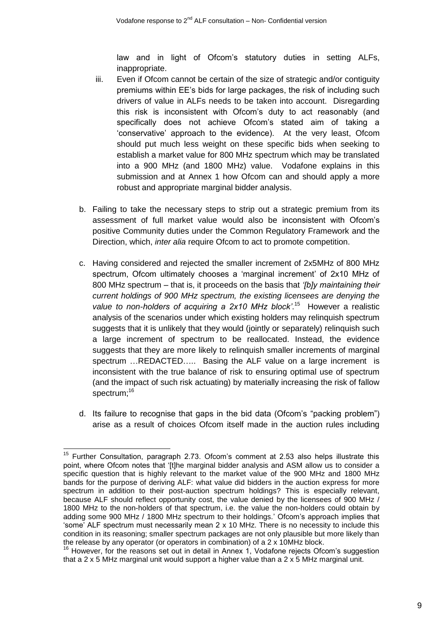law and in light of Ofcom's statutory duties in setting ALFs, inappropriate.

- iii. Even if Ofcom cannot be certain of the size of strategic and/or contiguity premiums within EE's bids for large packages, the risk of including such drivers of value in ALFs needs to be taken into account. Disregarding this risk is inconsistent with Ofcom's duty to act reasonably (and specifically does not achieve Ofcom's stated aim of taking a 'conservative' approach to the evidence). At the very least, Ofcom should put much less weight on these specific bids when seeking to establish a market value for 800 MHz spectrum which may be translated into a 900 MHz (and 1800 MHz) value. Vodafone explains in this submission and at Annex 1 how Ofcom can and should apply a more robust and appropriate marginal bidder analysis.
- b. Failing to take the necessary steps to strip out a strategic premium from its assessment of full market value would also be inconsistent with Ofcom's positive Community duties under the Common Regulatory Framework and the Direction, which, *inter alia* require Ofcom to act to promote competition.
- c. Having considered and rejected the smaller increment of 2x5MHz of 800 MHz spectrum, Ofcom ultimately chooses a 'marginal increment' of 2x10 MHz of 800 MHz spectrum – that is, it proceeds on the basis that *'[b]y maintaining their current holdings of 900 MHz spectrum, the existing licensees are denying the*  value to non-holders of acquiring a 2x10 MHz block<sup>'15</sup> However a realistic analysis of the scenarios under which existing holders may relinquish spectrum suggests that it is unlikely that they would (jointly or separately) relinquish such a large increment of spectrum to be reallocated. Instead, the evidence suggests that they are more likely to relinquish smaller increments of marginal spectrum ...REDACTED..... Basing the ALF value on a large increment is inconsistent with the true balance of risk to ensuring optimal use of spectrum (and the impact of such risk actuating) by materially increasing the risk of fallow spectrum; 16
- d. Its failure to recognise that gaps in the bid data (Ofcom's "packing problem") arise as a result of choices Ofcom itself made in the auction rules including

 $\overline{a}$ 

<sup>&</sup>lt;sup>15</sup> Further Consultation, paragraph 2.73. Ofcom's comment at 2.53 also helps illustrate this point, where Ofcom notes that '[t]he marginal bidder analysis and ASM allow us to consider a specific question that is highly relevant to the market value of the 900 MHz and 1800 MHz bands for the purpose of deriving ALF: what value did bidders in the auction express for more spectrum in addition to their post-auction spectrum holdings? This is especially relevant, because ALF should reflect opportunity cost, the value denied by the licensees of 900 MHz / 1800 MHz to the non-holders of that spectrum, i.e. the value the non-holders could obtain by adding some 900 MHz / 1800 MHz spectrum to their holdings.' Ofcom's approach implies that 'some' ALF spectrum must necessarily mean 2 x 10 MHz. There is no necessity to include this condition in its reasoning; smaller spectrum packages are not only plausible but more likely than the release by any operator (or operators in combination) of a 2 x 10MHz block.

 $16$  However, for the reasons set out in detail in Annex 1, Vodafone rejects Ofcom's suggestion that a 2 x 5 MHz marginal unit would support a higher value than a 2 x 5 MHz marginal unit.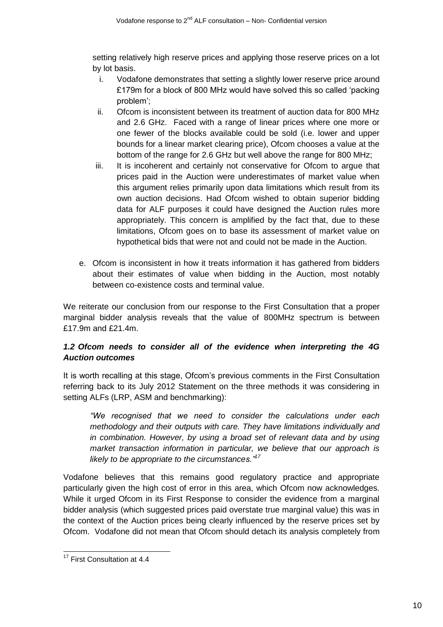setting relatively high reserve prices and applying those reserve prices on a lot by lot basis.

- i. Vodafone demonstrates that setting a slightly lower reserve price around £179m for a block of 800 MHz would have solved this so called 'packing problem';
- ii. Ofcom is inconsistent between its treatment of auction data for 800 MHz and 2.6 GHz. Faced with a range of linear prices where one more or one fewer of the blocks available could be sold (i.e. lower and upper bounds for a linear market clearing price), Ofcom chooses a value at the bottom of the range for 2.6 GHz but well above the range for 800 MHz;
- iii. It is incoherent and certainly not conservative for Ofcom to argue that prices paid in the Auction were underestimates of market value when this argument relies primarily upon data limitations which result from its own auction decisions. Had Ofcom wished to obtain superior bidding data for ALF purposes it could have designed the Auction rules more appropriately. This concern is amplified by the fact that, due to these limitations, Ofcom goes on to base its assessment of market value on hypothetical bids that were not and could not be made in the Auction.
- e. Ofcom is inconsistent in how it treats information it has gathered from bidders about their estimates of value when bidding in the Auction, most notably between co-existence costs and terminal value.

We reiterate our conclusion from our response to the First Consultation that a proper marginal bidder analysis reveals that the value of 800MHz spectrum is between £17.9m and £21.4m.

# *1.2 Ofcom needs to consider all of the evidence when interpreting the 4G Auction outcomes*

It is worth recalling at this stage, Ofcom's previous comments in the First Consultation referring back to its July 2012 Statement on the three methods it was considering in setting ALFs (LRP, ASM and benchmarking):

*"We recognised that we need to consider the calculations under each methodology and their outputs with care. They have limitations individually and in combination. However, by using a broad set of relevant data and by using market transaction information in particular, we believe that our approach is likely to be appropriate to the circumstances."<sup>17</sup>*

Vodafone believes that this remains good regulatory practice and appropriate particularly given the high cost of error in this area, which Ofcom now acknowledges. While it urged Ofcom in its First Response to consider the evidence from a marginal bidder analysis (which suggested prices paid overstate true marginal value) this was in the context of the Auction prices being clearly influenced by the reserve prices set by Ofcom. Vodafone did not mean that Ofcom should detach its analysis completely from

 $\overline{a}$ 

<sup>&</sup>lt;sup>17</sup> First Consultation at 4.4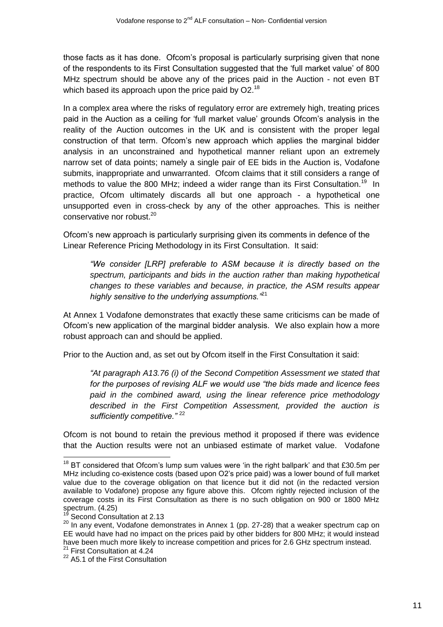those facts as it has done. Ofcom's proposal is particularly surprising given that none of the respondents to its First Consultation suggested that the 'full market value' of 800 MHz spectrum should be above any of the prices paid in the Auction - not even BT which based its approach upon the price paid by  $O2<sup>18</sup>$ 

In a complex area where the risks of regulatory error are extremely high, treating prices paid in the Auction as a ceiling for 'full market value' grounds Ofcom's analysis in the reality of the Auction outcomes in the UK and is consistent with the proper legal construction of that term. Ofcom's new approach which applies the marginal bidder analysis in an unconstrained and hypothetical manner reliant upon an extremely narrow set of data points; namely a single pair of EE bids in the Auction is, Vodafone submits, inappropriate and unwarranted. Ofcom claims that it still considers a range of methods to value the 800 MHz; indeed a wider range than its First Consultation.<sup>19</sup> In practice, Ofcom ultimately discards all but one approach - a hypothetical one unsupported even in cross-check by any of the other approaches. This is neither conservative nor robust.<sup>20</sup>

Ofcom's new approach is particularly surprising given its comments in defence of the Linear Reference Pricing Methodology in its First Consultation. It said:

*"We consider [LRP] preferable to ASM because it is directly based on the spectrum, participants and bids in the auction rather than making hypothetical changes to these variables and because, in practice, the ASM results appear highly sensitive to the underlying assumptions."*<sup>21</sup>

At Annex 1 Vodafone demonstrates that exactly these same criticisms can be made of Ofcom's new application of the marginal bidder analysis. We also explain how a more robust approach can and should be applied.

Prior to the Auction and, as set out by Ofcom itself in the First Consultation it said:

*"At paragraph A13.76 (i) of the Second Competition Assessment we stated that for the purposes of revising ALF we would use "the bids made and licence fees paid in the combined award, using the linear reference price methodology described in the First Competition Assessment, provided the auction is sufficiently competitive."* <sup>22</sup>

Ofcom is not bound to retain the previous method it proposed if there was evidence that the Auction results were not an unbiased estimate of market value. Vodafone

 $\overline{1}$  $18$  BT considered that Ofcom's lump sum values were 'in the right ballpark' and that £30.5m per MHz including co-existence costs (based upon O2's price paid) was a lower bound of full market value due to the coverage obligation on that licence but it did not (in the redacted version available to Vodafone) propose any figure above this. Ofcom rightly rejected inclusion of the coverage costs in its First Consultation as there is no such obligation on 900 or 1800 MHz spectrum.  $(4.25)$ 

Second Consultation at 2.13

 $20$  In any event, Vodafone demonstrates in Annex 1 (pp. 27-28) that a weaker spectrum cap on EE would have had no impact on the prices paid by other bidders for 800 MHz; it would instead have been much more likely to increase competition and prices for 2.6 GHz spectrum instead.  $21$  First Consultation at 4.24

<sup>&</sup>lt;sup>22</sup> A5.1 of the First Consultation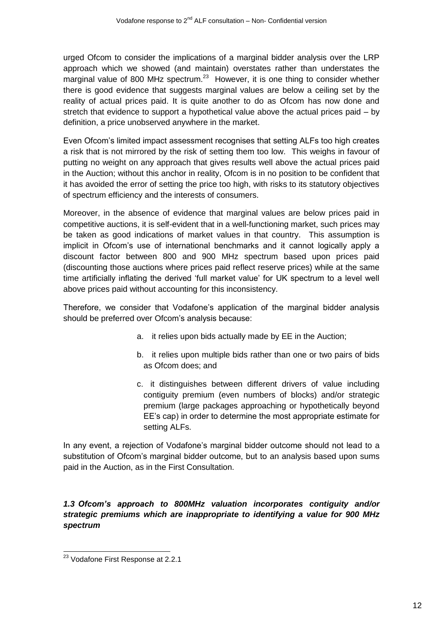urged Ofcom to consider the implications of a marginal bidder analysis over the LRP approach which we showed (and maintain) overstates rather than understates the marginal value of 800 MHz spectrum.<sup>23</sup> However, it is one thing to consider whether there is good evidence that suggests marginal values are below a ceiling set by the reality of actual prices paid. It is quite another to do as Ofcom has now done and stretch that evidence to support a hypothetical value above the actual prices paid – by definition, a price unobserved anywhere in the market.

Even Ofcom's limited impact assessment recognises that setting ALFs too high creates a risk that is not mirrored by the risk of setting them too low. This weighs in favour of putting no weight on any approach that gives results well above the actual prices paid in the Auction; without this anchor in reality, Ofcom is in no position to be confident that it has avoided the error of setting the price too high, with risks to its statutory objectives of spectrum efficiency and the interests of consumers.

Moreover, in the absence of evidence that marginal values are below prices paid in competitive auctions, it is self-evident that in a well-functioning market, such prices may be taken as good indications of market values in that country. This assumption is implicit in Ofcom's use of international benchmarks and it cannot logically apply a discount factor between 800 and 900 MHz spectrum based upon prices paid (discounting those auctions where prices paid reflect reserve prices) while at the same time artificially inflating the derived 'full market value' for UK spectrum to a level well above prices paid without accounting for this inconsistency.

Therefore, we consider that Vodafone's application of the marginal bidder analysis should be preferred over Ofcom's analysis because:

- a. it relies upon bids actually made by EE in the Auction;
- b. it relies upon multiple bids rather than one or two pairs of bids as Ofcom does; and
- c. it distinguishes between different drivers of value including contiguity premium (even numbers of blocks) and/or strategic premium (large packages approaching or hypothetically beyond EE's cap) in order to determine the most appropriate estimate for setting ALFs.

In any event, a rejection of Vodafone's marginal bidder outcome should not lead to a substitution of Ofcom's marginal bidder outcome, but to an analysis based upon sums paid in the Auction, as in the First Consultation.

# *1.3 Ofcom's approach to 800MHz valuation incorporates contiguity and/or strategic premiums which are inappropriate to identifying a value for 900 MHz spectrum*

 $\overline{a}$ <sup>23</sup> Vodafone First Response at 2.2.1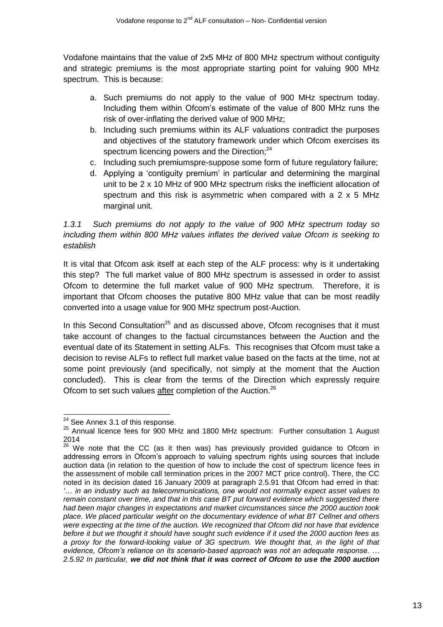Vodafone maintains that the value of 2x5 MHz of 800 MHz spectrum without contiguity and strategic premiums is the most appropriate starting point for valuing 900 MHz spectrum. This is because:

- a. Such premiums do not apply to the value of 900 MHz spectrum today. Including them within Ofcom's estimate of the value of 800 MHz runs the risk of over-inflating the derived value of 900 MHz;
- b. Including such premiums within its ALF valuations contradict the purposes and objectives of the statutory framework under which Ofcom exercises its spectrum licencing powers and the Direction;<sup>24</sup>
- c. Including such premiumspre-suppose some form of future regulatory failure;
- d. Applying a 'contiguity premium' in particular and determining the marginal unit to be 2 x 10 MHz of 900 MHz spectrum risks the inefficient allocation of spectrum and this risk is asymmetric when compared with a 2 x 5 MHz marginal unit.

# *1.3.1 Such premiums do not apply to the value of 900 MHz spectrum today so including them within 800 MHz values inflates the derived value Ofcom is seeking to establish*

It is vital that Ofcom ask itself at each step of the ALF process: why is it undertaking this step? The full market value of 800 MHz spectrum is assessed in order to assist Ofcom to determine the full market value of 900 MHz spectrum. Therefore, it is important that Ofcom chooses the putative 800 MHz value that can be most readily converted into a usage value for 900 MHz spectrum post-Auction.

In this Second Consultation<sup>25</sup> and as discussed above, Ofcom recognises that it must take account of changes to the factual circumstances between the Auction and the eventual date of its Statement in setting ALFs. This recognises that Ofcom must take a decision to revise ALFs to reflect full market value based on the facts at the time, not at some point previously (and specifically, not simply at the moment that the Auction concluded). This is clear from the terms of the Direction which expressly require Ofcom to set such values after completion of the Auction.<sup>26</sup>

 $\overline{\phantom{a}}$ 

 $24$  See Annex 3.1 of this response.

<sup>&</sup>lt;sup>25</sup> Annual licence fees for 900 MHz and 1800 MHz spectrum: Further consultation 1 August 2014

 $26$  We note that the CC (as it then was) has previously provided guidance to Ofcom in addressing errors in Ofcom's approach to valuing spectrum rights using sources that include auction data (in relation to the question of how to include the cost of spectrum licence fees in the assessment of mobile call termination prices in the 2007 MCT price control). There, the CC noted in its decision dated 16 January 2009 at paragraph 2.5.91 that Ofcom had erred in that: *'… in an industry such as telecommunications, one would not normally expect asset values to remain constant over time, and that in this case BT put forward evidence which suggested there had been major changes in expectations and market circumstances since the 2000 auction took place. We placed particular weight on the documentary evidence of what BT Cellnet and others were expecting at the time of the auction. We recognized that Ofcom did not have that evidence before it but we thought it should have sought such evidence if it used the 2000 auction fees as a proxy for the forward-looking value of 3G spectrum. We thought that, in the light of that evidence, Ofcom's reliance on its scenario-based approach was not an adequate response. … 2.5.92 In particular, we did not think that it was correct of Ofcom to use the 2000 auction*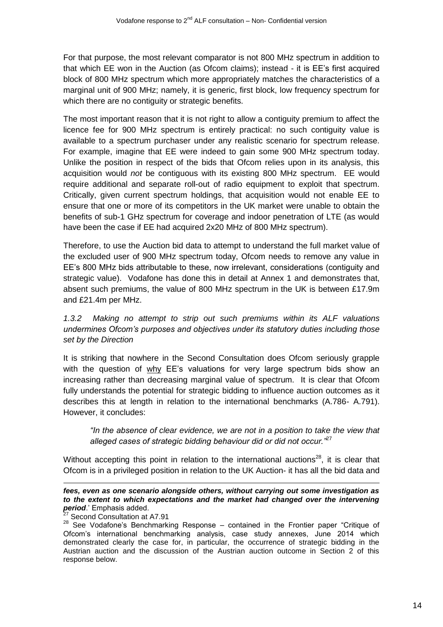For that purpose, the most relevant comparator is not 800 MHz spectrum in addition to that which EE won in the Auction (as Ofcom claims); instead - it is EE's first acquired block of 800 MHz spectrum which more appropriately matches the characteristics of a marginal unit of 900 MHz; namely, it is generic, first block, low frequency spectrum for which there are no contiguity or strategic benefits.

The most important reason that it is not right to allow a contiguity premium to affect the licence fee for 900 MHz spectrum is entirely practical: no such contiguity value is available to a spectrum purchaser under any realistic scenario for spectrum release. For example, imagine that EE were indeed to gain some 900 MHz spectrum today. Unlike the position in respect of the bids that Ofcom relies upon in its analysis, this acquisition would *not* be contiguous with its existing 800 MHz spectrum. EE would require additional and separate roll-out of radio equipment to exploit that spectrum. Critically, given current spectrum holdings, that acquisition would not enable EE to ensure that one or more of its competitors in the UK market were unable to obtain the benefits of sub-1 GHz spectrum for coverage and indoor penetration of LTE (as would have been the case if EE had acquired 2x20 MHz of 800 MHz spectrum).

Therefore, to use the Auction bid data to attempt to understand the full market value of the excluded user of 900 MHz spectrum today, Ofcom needs to remove any value in EE's 800 MHz bids attributable to these, now irrelevant, considerations (contiguity and strategic value). Vodafone has done this in detail at Annex 1 and demonstrates that, absent such premiums, the value of 800 MHz spectrum in the UK is between £17.9m and £21.4m per MHz.

*1.3.2 Making no attempt to strip out such premiums within its ALF valuations undermines Ofcom's purposes and objectives under its statutory duties including those set by the Direction*

It is striking that nowhere in the Second Consultation does Ofcom seriously grapple with the question of why EE's valuations for very large spectrum bids show an increasing rather than decreasing marginal value of spectrum. It is clear that Ofcom fully understands the potential for strategic bidding to influence auction outcomes as it describes this at length in relation to the international benchmarks (A.786- A.791). However, it concludes:

*"In the absence of clear evidence, we are not in a position to take the view that alleged cases of strategic bidding behaviour did or did not occur."*<sup>27</sup>

Without accepting this point in relation to the international auctions $^{28}$ , it is clear that Ofcom is in a privileged position in relation to the UK Auction- it has all the bid data and

1 *fees, even as one scenario alongside others, without carrying out some investigation as to the extent to which expectations and the market had changed over the intervening period*.' Emphasis added.

Second Consultation at A7.91

 $28$  See Vodafone's Benchmarking Response – contained in the Frontier paper "Critique of Ofcom's international benchmarking analysis, case study annexes, June 2014 which demonstrated clearly the case for, in particular, the occurrence of strategic bidding in the Austrian auction and the discussion of the Austrian auction outcome in Section 2 of this response below.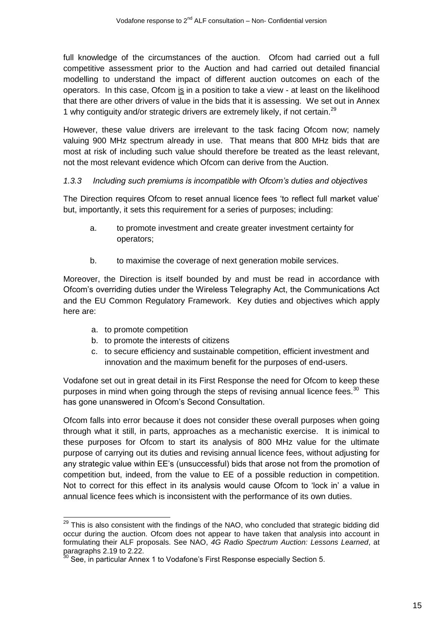full knowledge of the circumstances of the auction. Ofcom had carried out a full competitive assessment prior to the Auction and had carried out detailed financial modelling to understand the impact of different auction outcomes on each of the operators. In this case, Ofcom is in a position to take a view - at least on the likelihood that there are other drivers of value in the bids that it is assessing. We set out in Annex 1 why contiguity and/or strategic drivers are extremely likely, if not certain.<sup>29</sup>

However, these value drivers are irrelevant to the task facing Ofcom now; namely valuing 900 MHz spectrum already in use. That means that 800 MHz bids that are most at risk of including such value should therefore be treated as the least relevant, not the most relevant evidence which Ofcom can derive from the Auction.

# *1.3.3 Including such premiums is incompatible with Ofcom's duties and objectives*

The Direction requires Ofcom to reset annual licence fees 'to reflect full market value' but, importantly, it sets this requirement for a series of purposes; including:

- a. to promote investment and create greater investment certainty for operators;
- b. to maximise the coverage of next generation mobile services.

Moreover, the Direction is itself bounded by and must be read in accordance with Ofcom's overriding duties under the Wireless Telegraphy Act, the Communications Act and the EU Common Regulatory Framework. Key duties and objectives which apply here are:

- a. to promote competition
- b. to promote the interests of citizens
- c. to secure efficiency and sustainable competition, efficient investment and innovation and the maximum benefit for the purposes of end-users.

Vodafone set out in great detail in its First Response the need for Ofcom to keep these purposes in mind when going through the steps of revising annual licence fees.<sup>30</sup> This has gone unanswered in Ofcom's Second Consultation.

Ofcom falls into error because it does not consider these overall purposes when going through what it still, in parts, approaches as a mechanistic exercise. It is inimical to these purposes for Ofcom to start its analysis of 800 MHz value for the ultimate purpose of carrying out its duties and revising annual licence fees, without adjusting for any strategic value within EE's (unsuccessful) bids that arose not from the promotion of competition but, indeed, from the value to EE of a possible reduction in competition. Not to correct for this effect in its analysis would cause Ofcom to 'lock in' a value in annual licence fees which is inconsistent with the performance of its own duties.

 $\overline{a}$  $29$  This is also consistent with the findings of the NAO, who concluded that strategic bidding did occur during the auction. Ofcom does not appear to have taken that analysis into account in formulating their ALF proposals. See NAO, *4G Radio Spectrum Auction: Lessons Learned*, at paragraphs 2.19 to 2.22.

 $30$  See, in particular Annex 1 to Vodafone's First Response especially Section 5.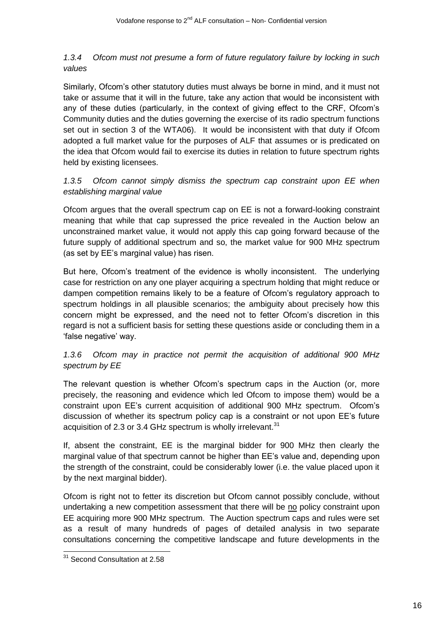# *1.3.4 Ofcom must not presume a form of future regulatory failure by locking in such values*

Similarly, Ofcom's other statutory duties must always be borne in mind, and it must not take or assume that it will in the future, take any action that would be inconsistent with any of these duties (particularly, in the context of giving effect to the CRF, Ofcom's Community duties and the duties governing the exercise of its radio spectrum functions set out in section 3 of the WTA06). It would be inconsistent with that duty if Ofcom adopted a full market value for the purposes of ALF that assumes or is predicated on the idea that Ofcom would fail to exercise its duties in relation to future spectrum rights held by existing licensees.

# *1.3.5 Ofcom cannot simply dismiss the spectrum cap constraint upon EE when establishing marginal value*

Ofcom argues that the overall spectrum cap on EE is not a forward-looking constraint meaning that while that cap supressed the price revealed in the Auction below an unconstrained market value, it would not apply this cap going forward because of the future supply of additional spectrum and so, the market value for 900 MHz spectrum (as set by EE's marginal value) has risen.

But here, Ofcom's treatment of the evidence is wholly inconsistent. The underlying case for restriction on any one player acquiring a spectrum holding that might reduce or dampen competition remains likely to be a feature of Ofcom's regulatory approach to spectrum holdings in all plausible scenarios; the ambiguity about precisely how this concern might be expressed, and the need not to fetter Ofcom's discretion in this regard is not a sufficient basis for setting these questions aside or concluding them in a 'false negative' way.

# *1.3.6 Ofcom may in practice not permit the acquisition of additional 900 MHz spectrum by EE*

The relevant question is whether Ofcom's spectrum caps in the Auction (or, more precisely, the reasoning and evidence which led Ofcom to impose them) would be a constraint upon EE's current acquisition of additional 900 MHz spectrum. Ofcom's discussion of whether its spectrum policy cap is a constraint or not upon EE's future acquisition of 2.3 or 3.4 GHz spectrum is wholly irrelevant. $31$ 

If, absent the constraint, EE is the marginal bidder for 900 MHz then clearly the marginal value of that spectrum cannot be higher than EE's value and, depending upon the strength of the constraint, could be considerably lower (i.e. the value placed upon it by the next marginal bidder).

Ofcom is right not to fetter its discretion but Ofcom cannot possibly conclude, without undertaking a new competition assessment that there will be no policy constraint upon EE acquiring more 900 MHz spectrum. The Auction spectrum caps and rules were set as a result of many hundreds of pages of detailed analysis in two separate consultations concerning the competitive landscape and future developments in the

 $\overline{a}$ 

<sup>&</sup>lt;sup>31</sup> Second Consultation at 2.58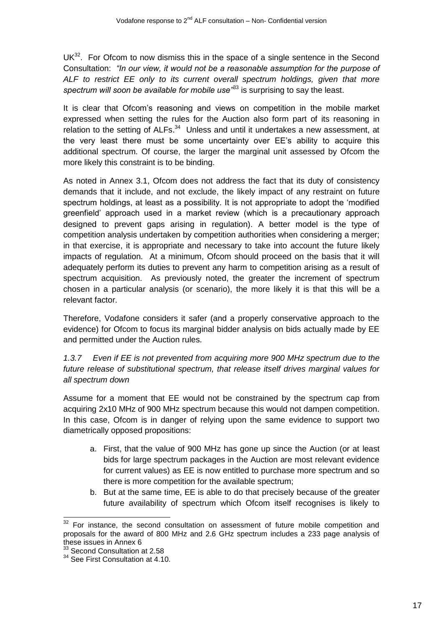$UK<sup>32</sup>$ . For Ofcom to now dismiss this in the space of a single sentence in the Second Consultation: *"In our view, it would not be a reasonable assumption for the purpose of ALF to restrict EE only to its current overall spectrum holdings, given that more*  spectrum will soon be available for mobile use<sup>333</sup> is surprising to say the least.

It is clear that Ofcom's reasoning and views on competition in the mobile market expressed when setting the rules for the Auction also form part of its reasoning in relation to the setting of ALFs.<sup>34</sup> Unless and until it undertakes a new assessment, at the very least there must be some uncertainty over EE's ability to acquire this additional spectrum. Of course, the larger the marginal unit assessed by Ofcom the more likely this constraint is to be binding.

As noted in Annex 3.1, Ofcom does not address the fact that its duty of consistency demands that it include, and not exclude, the likely impact of any restraint on future spectrum holdings, at least as a possibility. It is not appropriate to adopt the 'modified greenfield' approach used in a market review (which is a precautionary approach designed to prevent gaps arising in regulation). A better model is the type of competition analysis undertaken by competition authorities when considering a merger; in that exercise, it is appropriate and necessary to take into account the future likely impacts of regulation. At a minimum, Ofcom should proceed on the basis that it will adequately perform its duties to prevent any harm to competition arising as a result of spectrum acquisition. As previously noted, the greater the increment of spectrum chosen in a particular analysis (or scenario), the more likely it is that this will be a relevant factor.

Therefore, Vodafone considers it safer (and a properly conservative approach to the evidence) for Ofcom to focus its marginal bidder analysis on bids actually made by EE and permitted under the Auction rules.

*1.3.7 Even if EE is not prevented from acquiring more 900 MHz spectrum due to the future release of substitutional spectrum, that release itself drives marginal values for all spectrum down*

Assume for a moment that EE would not be constrained by the spectrum cap from acquiring 2x10 MHz of 900 MHz spectrum because this would not dampen competition. In this case, Ofcom is in danger of relying upon the same evidence to support two diametrically opposed propositions:

- a. First, that the value of 900 MHz has gone up since the Auction (or at least bids for large spectrum packages in the Auction are most relevant evidence for current values) as EE is now entitled to purchase more spectrum and so there is more competition for the available spectrum;
- b. But at the same time, EE is able to do that precisely because of the greater future availability of spectrum which Ofcom itself recognises is likely to

 $\overline{a}$ 

 $32$  For instance, the second consultation on assessment of future mobile competition and proposals for the award of 800 MHz and 2.6 GHz spectrum includes a 233 page analysis of these issues in Annex 6

<sup>&</sup>lt;sup>33</sup> Second Consultation at 2.58

<sup>&</sup>lt;sup>34</sup> See First Consultation at 4.10.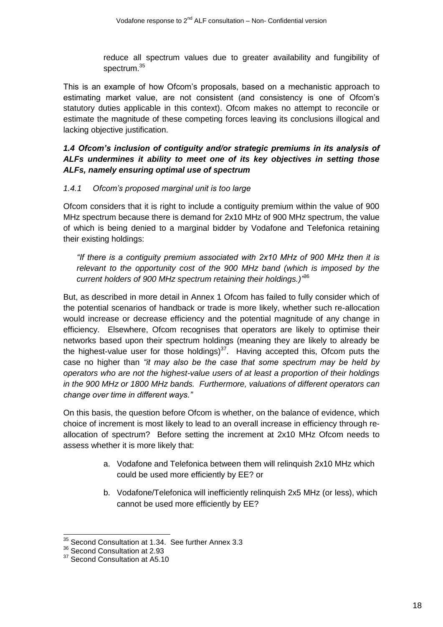reduce all spectrum values due to greater availability and fungibility of spectrum.<sup>35</sup>

This is an example of how Ofcom's proposals, based on a mechanistic approach to estimating market value, are not consistent (and consistency is one of Ofcom's statutory duties applicable in this context). Ofcom makes no attempt to reconcile or estimate the magnitude of these competing forces leaving its conclusions illogical and lacking objective justification.

*1.4 Ofcom's inclusion of contiguity and/or strategic premiums in its analysis of ALFs undermines it ability to meet one of its key objectives in setting those ALFs, namely ensuring optimal use of spectrum*

### *1.4.1 Ofcom's proposed marginal unit is too large*

Ofcom considers that it is right to include a contiguity premium within the value of 900 MHz spectrum because there is demand for 2x10 MHz of 900 MHz spectrum, the value of which is being denied to a marginal bidder by Vodafone and Telefonica retaining their existing holdings:

*"If there is a contiguity premium associated with 2x10 MHz of 900 MHz then it is relevant to the opportunity cost of the 900 MHz band (which is imposed by the current holders of 900 MHz spectrum retaining their holdings.)"* 36

But, as described in more detail in Annex 1 Ofcom has failed to fully consider which of the potential scenarios of handback or trade is more likely, whether such re-allocation would increase or decrease efficiency and the potential magnitude of any change in efficiency. Elsewhere, Ofcom recognises that operators are likely to optimise their networks based upon their spectrum holdings (meaning they are likely to already be the highest-value user for those holdings) $37$ . Having accepted this, Ofcom puts the case no higher than *"it may also be the case that some spectrum may be held by operators who are not the highest-value users of at least a proportion of their holdings in the 900 MHz or 1800 MHz bands. Furthermore, valuations of different operators can change over time in different ways."*

On this basis, the question before Ofcom is whether, on the balance of evidence, which choice of increment is most likely to lead to an overall increase in efficiency through reallocation of spectrum? Before setting the increment at 2x10 MHz Ofcom needs to assess whether it is more likely that:

- a. Vodafone and Telefonica between them will relinquish 2x10 MHz which could be used more efficiently by EE? or
- b. Vodafone/Telefonica will inefficiently relinquish 2x5 MHz (or less), which cannot be used more efficiently by EE?

 $\overline{1}$ 

 $35$  Second Consultation at 1.34. See further Annex 3.3

<sup>&</sup>lt;sup>36</sup> Second Consultation at 2.93

<sup>&</sup>lt;sup>37</sup> Second Consultation at A5.10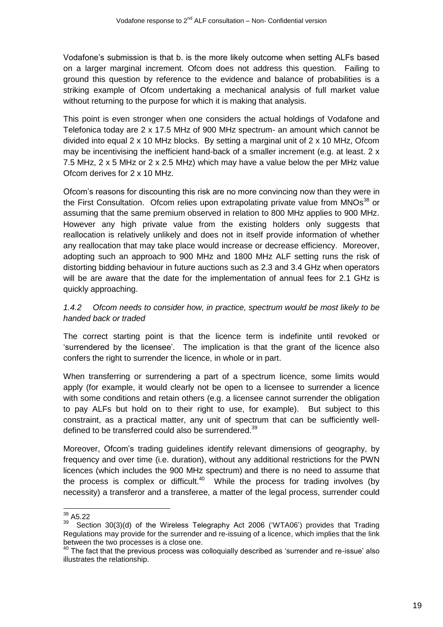Vodafone's submission is that b. is the more likely outcome when setting ALFs based on a larger marginal increment. Ofcom does not address this question. Failing to ground this question by reference to the evidence and balance of probabilities is a striking example of Ofcom undertaking a mechanical analysis of full market value without returning to the purpose for which it is making that analysis.

This point is even stronger when one considers the actual holdings of Vodafone and Telefonica today are 2 x 17.5 MHz of 900 MHz spectrum- an amount which cannot be divided into equal  $2 \times 10$  MHz blocks. By setting a marginal unit of  $2 \times 10$  MHz, Ofcom may be incentivising the inefficient hand-back of a smaller increment (e.g. at least. 2 x 7.5 MHz, 2 x 5 MHz or 2 x 2.5 MHz) which may have a value below the per MHz value Ofcom derives for 2 x 10 MHz.

Ofcom's reasons for discounting this risk are no more convincing now than they were in the First Consultation. Ofcom relies upon extrapolating private value from MNOs<sup>38</sup> or assuming that the same premium observed in relation to 800 MHz applies to 900 MHz. However any high private value from the existing holders only suggests that reallocation is relatively unlikely and does not in itself provide information of whether any reallocation that may take place would increase or decrease efficiency. Moreover, adopting such an approach to 900 MHz and 1800 MHz ALF setting runs the risk of distorting bidding behaviour in future auctions such as 2.3 and 3.4 GHz when operators will be are aware that the date for the implementation of annual fees for 2.1 GHz is quickly approaching.

*1.4.2 Ofcom needs to consider how, in practice, spectrum would be most likely to be handed back or traded*

The correct starting point is that the licence term is indefinite until revoked or 'surrendered by the licensee'. The implication is that the grant of the licence also confers the right to surrender the licence, in whole or in part.

When transferring or surrendering a part of a spectrum licence, some limits would apply (for example, it would clearly not be open to a licensee to surrender a licence with some conditions and retain others (e.g. a licensee cannot surrender the obligation to pay ALFs but hold on to their right to use, for example). But subject to this constraint, as a practical matter, any unit of spectrum that can be sufficiently welldefined to be transferred could also be surrendered.<sup>39</sup>

Moreover, Ofcom's [trading guidelines](http://stakeholders.ofcom.org.uk/binaries/spectrum/spectrum-policy-area/spectrum-trading/tradingguide.pdf) identify relevant dimensions of geography, by frequency and over time (i.e. duration), without any additional restrictions for the PWN licences (which includes the 900 MHz spectrum) and there is no need to assume that the process is complex or difficult.<sup>40</sup> While the process for trading involves (by necessity) a transferor and a transferee, a matter of the legal process, surrender could

 $\overline{1}$  $38$  A5.22

<sup>39</sup> Section 30(3)(d) of the Wireless Telegraphy Act 2006 ('WTA06') provides that Trading Regulations may provide for the surrender and re-issuing of a licence, which implies that the link between the two processes is a close one.

 $^{40}$  The fact that the previous process was colloquially described as 'surrender and re-issue' also illustrates the relationship.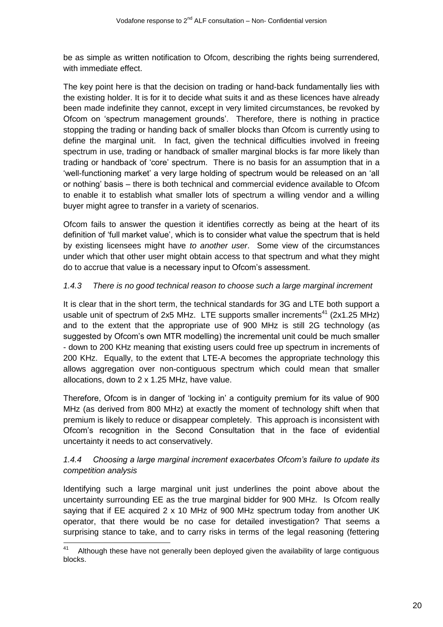be as simple as written notification to Ofcom, describing the rights being surrendered, with immediate effect.

The key point here is that the decision on trading or hand-back fundamentally lies with the existing holder. It is for it to decide what suits it and as these licences have already been made indefinite they cannot, except in very limited circumstances, be revoked by Ofcom on 'spectrum management grounds'. Therefore, there is nothing in practice stopping the trading or handing back of smaller blocks than Ofcom is currently using to define the marginal unit. In fact, given the technical difficulties involved in freeing spectrum in use, trading or handback of smaller marginal blocks is far more likely than trading or handback of 'core' spectrum. There is no basis for an assumption that in a 'well-functioning market' a very large holding of spectrum would be released on an 'all or nothing' basis – there is both technical and commercial evidence available to Ofcom to enable it to establish what smaller lots of spectrum a willing vendor and a willing buyer might agree to transfer in a variety of scenarios.

Ofcom fails to answer the question it identifies correctly as being at the heart of its definition of 'full market value', which is to consider what value the spectrum that is held by existing licensees might have *to another user*. Some view of the circumstances under which that other user might obtain access to that spectrum and what they might do to accrue that value is a necessary input to Ofcom's assessment.

# *1.4.3 There is no good technical reason to choose such a large marginal increment*

It is clear that in the short term, the technical standards for 3G and LTE both support a usable unit of spectrum of 2x5 MHz. LTE supports smaller increments<sup>41</sup> (2x1.25 MHz) and to the extent that the appropriate use of 900 MHz is still 2G technology (as suggested by Ofcom's own MTR modelling) the incremental unit could be much smaller - down to 200 KHz meaning that existing users could free up spectrum in increments of 200 KHz. Equally, to the extent that LTE-A becomes the appropriate technology this allows aggregation over non-contiguous spectrum which could mean that smaller allocations, down to 2 x 1.25 MHz, have value.

Therefore, Ofcom is in danger of 'locking in' a contiguity premium for its value of 900 MHz (as derived from 800 MHz) at exactly the moment of technology shift when that premium is likely to reduce or disappear completely. This approach is inconsistent with Ofcom's recognition in the Second Consultation that in the face of evidential uncertainty it needs to act conservatively.

# *1.4.4 Choosing a large marginal increment exacerbates Ofcom's failure to update its competition analysis*

Identifying such a large marginal unit just underlines the point above about the uncertainty surrounding EE as the true marginal bidder for 900 MHz. Is Ofcom really saying that if EE acquired 2 x 10 MHz of 900 MHz spectrum today from another UK operator, that there would be no case for detailed investigation? That seems a surprising stance to take, and to carry risks in terms of the legal reasoning (fettering

 $\overline{\phantom{a}}$ 

Although these have not generally been deployed given the availability of large contiguous blocks.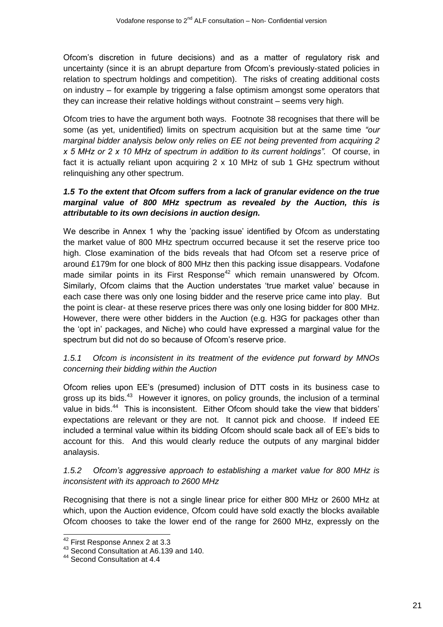Ofcom's discretion in future decisions) and as a matter of regulatory risk and uncertainty (since it is an abrupt departure from Ofcom's previously-stated policies in relation to spectrum holdings and competition). The risks of creating additional costs on industry – for example by triggering a false optimism amongst some operators that they can increase their relative holdings without constraint – seems very high.

Ofcom tries to have the argument both ways. Footnote 38 recognises that there will be some (as yet, unidentified) limits on spectrum acquisition but at the same time *"our marginal bidder analysis below only relies on EE not being prevented from acquiring 2 x 5 MHz or 2 x 10 MHz of spectrum in addition to its current holdings".* Of course, in fact it is actually reliant upon acquiring 2 x 10 MHz of sub 1 GHz spectrum without relinquishing any other spectrum.

# *1.5 To the extent that Ofcom suffers from a lack of granular evidence on the true marginal value of 800 MHz spectrum as revealed by the Auction, this is attributable to its own decisions in auction design.*

We describe in Annex 1 why the 'packing issue' identified by Ofcom as understating the market value of 800 MHz spectrum occurred because it set the reserve price too high. Close examination of the bids reveals that had Ofcom set a reserve price of around £179m for one block of 800 MHz then this packing issue disappears. Vodafone made similar points in its First Response<sup>42</sup> which remain unanswered by Ofcom. Similarly, Ofcom claims that the Auction understates 'true market value' because in each case there was only one losing bidder and the reserve price came into play. But the point is clear- at these reserve prices there was only one losing bidder for 800 MHz. However, there were other bidders in the Auction (e.g. H3G for packages other than the 'opt in' packages, and Niche) who could have expressed a marginal value for the spectrum but did not do so because of Ofcom's reserve price.

# *1.5.1 Ofcom is inconsistent in its treatment of the evidence put forward by MNOs concerning their bidding within the Auction*

Ofcom relies upon EE's (presumed) inclusion of DTT costs in its business case to gross up its bids.<sup>43</sup> However it ignores, on policy grounds, the inclusion of a terminal value in bids.<sup>44</sup> This is inconsistent. Either Ofcom should take the view that bidders' expectations are relevant or they are not. It cannot pick and choose. If indeed EE included a terminal value within its bidding Ofcom should scale back all of EE's bids to account for this. And this would clearly reduce the outputs of any marginal bidder analaysis.

# *1.5.2 Ofcom's aggressive approach to establishing a market value for 800 MHz is inconsistent with its approach to 2600 MHz*

Recognising that there is not a single linear price for either 800 MHz or 2600 MHz at which, upon the Auction evidence, Ofcom could have sold exactly the blocks available Ofcom chooses to take the lower end of the range for 2600 MHz, expressly on the

 $\overline{1}$ 

<sup>&</sup>lt;sup>42</sup> First Response Annex 2 at 3.3

<sup>&</sup>lt;sup>43</sup> Second Consultation at A6.139 and 140.

<sup>44</sup> Second Consultation at 4.4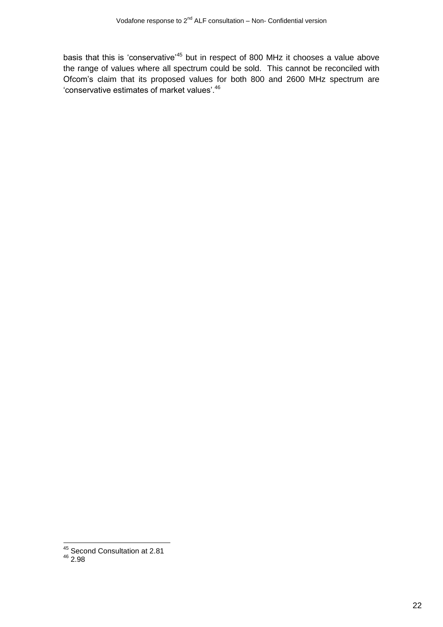basis that this is 'conservative'<sup>45</sup> but in respect of 800 MHz it chooses a value above the range of values where all spectrum could be sold. This cannot be reconciled with Ofcom's claim that its proposed values for both 800 and 2600 MHz spectrum are 'conservative estimates of market values'.<sup>46</sup>

 $\overline{\phantom{a}}$ <sup>45</sup> Second Consultation at 2.81

 $46\frac{66}{2.98}$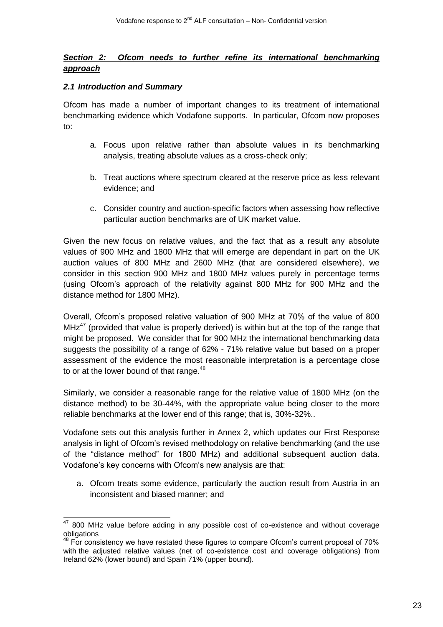### *Section 2: Ofcom needs to further refine its international benchmarking approach*

#### *2.1 Introduction and Summary*

Ofcom has made a number of important changes to its treatment of international benchmarking evidence which Vodafone supports. In particular, Ofcom now proposes to:

- a. Focus upon relative rather than absolute values in its benchmarking analysis, treating absolute values as a cross-check only;
- b. Treat auctions where spectrum cleared at the reserve price as less relevant evidence; and
- c. Consider country and auction-specific factors when assessing how reflective particular auction benchmarks are of UK market value.

Given the new focus on relative values, and the fact that as a result any absolute values of 900 MHz and 1800 MHz that will emerge are dependant in part on the UK auction values of 800 MHz and 2600 MHz (that are considered elsewhere), we consider in this section 900 MHz and 1800 MHz values purely in percentage terms (using Ofcom's approach of the relativity against 800 MHz for 900 MHz and the distance method for 1800 MHz).

Overall, Ofcom's proposed relative valuation of 900 MHz at 70% of the value of 800  $MH<sup>47</sup>$  (provided that value is properly derived) is within but at the top of the range that might be proposed. We consider that for 900 MHz the international benchmarking data suggests the possibility of a range of 62% - 71% relative value but based on a proper assessment of the evidence the most reasonable interpretation is a percentage close to or at the lower bound of that range.<sup>48</sup>

Similarly, we consider a reasonable range for the relative value of 1800 MHz (on the distance method) to be 30-44%, with the appropriate value being closer to the more reliable benchmarks at the lower end of this range; that is, 30%-32%..

Vodafone sets out this analysis further in Annex 2, which updates our First Response analysis in light of Ofcom's revised methodology on relative benchmarking (and the use of the "distance method" for 1800 MHz) and additional subsequent auction data. Vodafone's key concerns with Ofcom's new analysis are that:

a. Ofcom treats some evidence, particularly the auction result from Austria in an inconsistent and biased manner; and

 $\overline{\phantom{a}}$  $47$  800 MHz value before adding in any possible cost of co-existence and without coverage obligations

For consistency we have restated these figures to compare Ofcom's current proposal of 70% with the adjusted relative values (net of co-existence cost and coverage obligations) from Ireland 62% (lower bound) and Spain 71% (upper bound).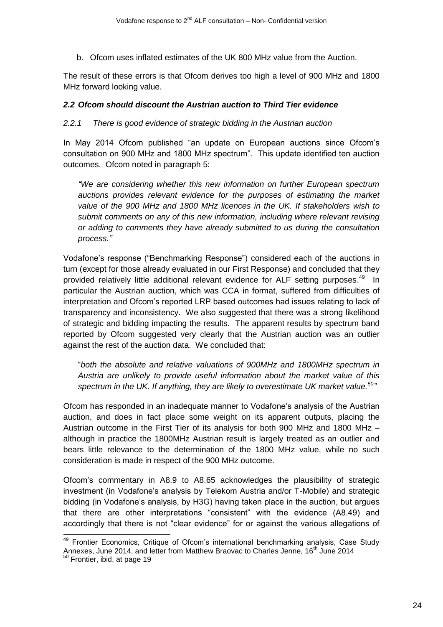b. Ofcom uses inflated estimates of the UK 800 MHz value from the Auction.

The result of these errors is that Ofcom derives too high a level of 900 MHz and 1800 MHz forward looking value.

#### *2.2 Ofcom should discount the Austrian auction to Third Tier evidence*

#### *2.2.1 There is good evidence of strategic bidding in the Austrian auction*

In May 2014 Ofcom published "an update on European auctions since Ofcom's consultation on 900 MHz and 1800 MHz spectrum". This update identified ten auction outcomes. Ofcom noted in paragraph 5:

*"We are considering whether this new information on further European spectrum auctions provides relevant evidence for the purposes of estimating the market value of the 900 MHz and 1800 MHz licences in the UK. If stakeholders wish to submit comments on any of this new information, including where relevant revising or adding to comments they have already submitted to us during the consultation process."*

Vodafone's response ("Benchmarking Response") considered each of the auctions in turn (except for those already evaluated in our First Response) and concluded that they provided relatively little additional relevant evidence for ALF setting purposes.<sup>49</sup> In particular the Austrian auction, which was CCA in format, suffered from difficulties of interpretation and Ofcom's reported LRP based outcomes had issues relating to lack of transparency and inconsistency. We also suggested that there was a strong likelihood of strategic and bidding impacting the results. The apparent results by spectrum band reported by Ofcom suggested very clearly that the Austrian auction was an outlier against the rest of the auction data. We concluded that:

"*both the absolute and relative valuations of 900MHz and 1800MHz spectrum in Austria are unlikely to provide useful information about the market value of this*  spectrum in the UK. If anything, they are likely to overestimate UK market value.<sup>50</sup>

Ofcom has responded in an inadequate manner to Vodafone's analysis of the Austrian auction, and does in fact place some weight on its apparent outputs, placing the Austrian outcome in the First Tier of its analysis for both 900 MHz and 1800 MHz – although in practice the 1800MHz Austrian result is largely treated as an outlier and bears little relevance to the determination of the 1800 MHz value, while no such consideration is made in respect of the 900 MHz outcome.

Ofcom's commentary in A8.9 to A8.65 acknowledges the plausibility of strategic investment (in Vodafone's analysis by Telekom Austria and/or T-Mobile) and strategic bidding (in Vodafone's analysis, by H3G) having taken place in the auction, but argues that there are other interpretations "consistent" with the evidence (A8.49) and accordingly that there is not "clear evidence" for or against the various allegations of

 $\overline{1}$ 

<sup>&</sup>lt;sup>49</sup> Frontier Economics, Critique of Ofcom's international benchmarking analysis, Case Study Annexes, June 2014, and letter from Matthew Braovac to Charles Jenne, 16<sup>th</sup> June 2014

<sup>&</sup>lt;sup>50</sup> Frontier, ibid, at page 19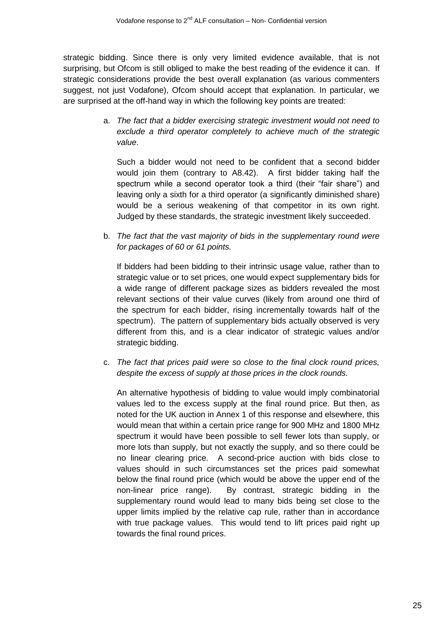strategic bidding. Since there is only very limited evidence available, that is not surprising, but Ofcom is still obliged to make the best reading of the evidence it can. If strategic considerations provide the best overall explanation (as various commenters suggest, not just Vodafone), Ofcom should accept that explanation. In particular, we are surprised at the off-hand way in which the following key points are treated:

> a. *The fact that a bidder exercising strategic investment would not need to exclude a third operator completely to achieve much of the strategic value*.

Such a bidder would not need to be confident that a second bidder would join them (contrary to A8.42). A first bidder taking half the spectrum while a second operator took a third (their "fair share") and leaving only a sixth for a third operator (a significantly diminished share) would be a serious weakening of that competitor in its own right. Judged by these standards, the strategic investment likely succeeded.

b. *The fact that the vast majority of bids in the supplementary round were for packages of 60 or 61 points.*

If bidders had been bidding to their intrinsic usage value, rather than to strategic value or to set prices, one would expect supplementary bids for a wide range of different package sizes as bidders revealed the most relevant sections of their value curves (likely from around one third of the spectrum for each bidder, rising incrementally towards half of the spectrum). The pattern of supplementary bids actually observed is very different from this, and is a clear indicator of strategic values and/or strategic bidding.

c. *The fact that prices paid were so close to the final clock round prices, despite the excess of supply at those prices in the clock rounds.*

An alternative hypothesis of bidding to value would imply combinatorial values led to the excess supply at the final round price. But then, as noted for the UK auction in Annex 1 of this response and elsewhere, this would mean that within a certain price range for 900 MHz and 1800 MHz spectrum it would have been possible to sell fewer lots than supply, or more lots than supply, but not exactly the supply, and so there could be no linear clearing price. A second-price auction with bids close to values should in such circumstances set the prices paid somewhat below the final round price (which would be above the upper end of the non-linear price range). By contrast, strategic bidding in the supplementary round would lead to many bids being set close to the upper limits implied by the relative cap rule, rather than in accordance with true package values. This would tend to lift prices paid right up towards the final round prices.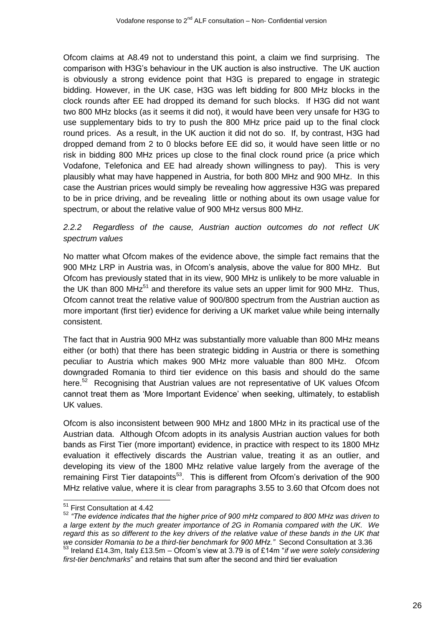Ofcom claims at A8.49 not to understand this point, a claim we find surprising. The comparison with H3G's behaviour in the UK auction is also instructive. The UK auction is obviously a strong evidence point that H3G is prepared to engage in strategic bidding. However, in the UK case, H3G was left bidding for 800 MHz blocks in the clock rounds after EE had dropped its demand for such blocks. If H3G did not want two 800 MHz blocks (as it seems it did not), it would have been very unsafe for H3G to use supplementary bids to try to push the 800 MHz price paid up to the final clock round prices. As a result, in the UK auction it did not do so. If, by contrast, H3G had dropped demand from 2 to 0 blocks before EE did so, it would have seen little or no risk in bidding 800 MHz prices up close to the final clock round price (a price which Vodafone, Telefonica and EE had already shown willingness to pay). This is very plausibly what may have happened in Austria, for both 800 MHz and 900 MHz. In this case the Austrian prices would simply be revealing how aggressive H3G was prepared to be in price driving, and be revealing little or nothing about its own usage value for spectrum, or about the relative value of 900 MHz versus 800 MHz.

# *2.2.2 Regardless of the cause, Austrian auction outcomes do not reflect UK spectrum values*

No matter what Ofcom makes of the evidence above, the simple fact remains that the 900 MHz LRP in Austria was, in Ofcom's analysis, above the value for 800 MHz. But Ofcom has previously stated that in its view, 900 MHz is unlikely to be more valuable in the UK than 800 MH $z^{51}$  and therefore its value sets an upper limit for 900 MHz. Thus, Ofcom cannot treat the relative value of 900/800 spectrum from the Austrian auction as more important (first tier) evidence for deriving a UK market value while being internally consistent.

The fact that in Austria 900 MHz was substantially more valuable than 800 MHz means either (or both) that there has been strategic bidding in Austria or there is something peculiar to Austria which makes 900 MHz more valuable than 800 MHz. Ofcom downgraded Romania to third tier evidence on this basis and should do the same here.<sup>52</sup> Recognising that Austrian values are not representative of UK values Ofcom cannot treat them as 'More Important Evidence' when seeking, ultimately, to establish UK values.

Ofcom is also inconsistent between 900 MHz and 1800 MHz in its practical use of the Austrian data. Although Ofcom adopts in its analysis Austrian auction values for both bands as First Tier (more important) evidence, in practice with respect to its 1800 MHz evaluation it effectively discards the Austrian value, treating it as an outlier, and developing its view of the 1800 MHz relative value largely from the average of the remaining First Tier datapoints<sup>53</sup>. This is different from Ofcom's derivation of the 900 MHz relative value, where it is clear from paragraphs 3.55 to 3.60 that Ofcom does not

-

<sup>52</sup> *"The evidence indicates that the higher price of 900 mHz compared to 800 MHz was driven to a large extent by the much greater importance of 2G in Romania compared with the UK. We*  regard this as so different to the key drivers of the relative value of these bands in the UK that *we consider Romania to be a third-tier benchmark for 900 MHz."* Second Consultation at 3.36 <sup>53</sup> Ireland £14.3m, Italy £13.5m – Ofcom's view at 3.79 is of £14m "*if we were solely considering* 

<sup>&</sup>lt;sup>51</sup> First Consultation at 4.42

*first-tier benchmarks*" and retains that sum after the second and third tier evaluation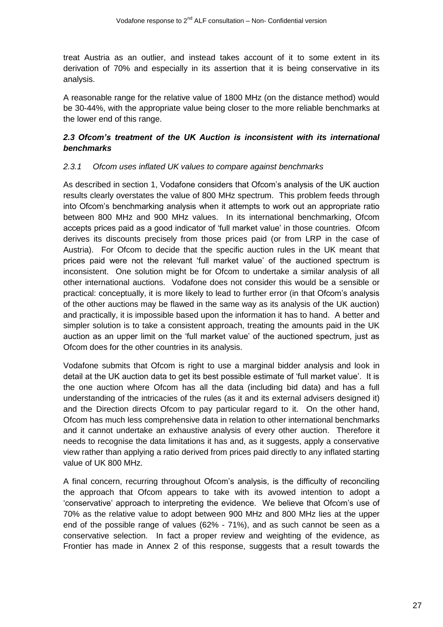treat Austria as an outlier, and instead takes account of it to some extent in its derivation of 70% and especially in its assertion that it is being conservative in its analysis.

A reasonable range for the relative value of 1800 MHz (on the distance method) would be 30-44%, with the appropriate value being closer to the more reliable benchmarks at the lower end of this range.

# *2.3 Ofcom's treatment of the UK Auction is inconsistent with its international benchmarks*

### *2.3.1 Ofcom uses inflated UK values to compare against benchmarks*

As described in section 1, Vodafone considers that Ofcom's analysis of the UK auction results clearly overstates the value of 800 MHz spectrum. This problem feeds through into Ofcom's benchmarking analysis when it attempts to work out an appropriate ratio between 800 MHz and 900 MHz values. In its international benchmarking, Ofcom accepts prices paid as a good indicator of 'full market value' in those countries. Ofcom derives its discounts precisely from those prices paid (or from LRP in the case of Austria). For Ofcom to decide that the specific auction rules in the UK meant that prices paid were not the relevant 'full market value' of the auctioned spectrum is inconsistent. One solution might be for Ofcom to undertake a similar analysis of all other international auctions. Vodafone does not consider this would be a sensible or practical: conceptually, it is more likely to lead to further error (in that Ofcom's analysis of the other auctions may be flawed in the same way as its analysis of the UK auction) and practically, it is impossible based upon the information it has to hand. A better and simpler solution is to take a consistent approach, treating the amounts paid in the UK auction as an upper limit on the 'full market value' of the auctioned spectrum, just as Ofcom does for the other countries in its analysis.

Vodafone submits that Ofcom is right to use a marginal bidder analysis and look in detail at the UK auction data to get its best possible estimate of 'full market value'. It is the one auction where Ofcom has all the data (including bid data) and has a full understanding of the intricacies of the rules (as it and its external advisers designed it) and the Direction directs Ofcom to pay particular regard to it. On the other hand, Ofcom has much less comprehensive data in relation to other international benchmarks and it cannot undertake an exhaustive analysis of every other auction. Therefore it needs to recognise the data limitations it has and, as it suggests, apply a conservative view rather than applying a ratio derived from prices paid directly to any inflated starting value of UK 800 MHz.

A final concern, recurring throughout Ofcom's analysis, is the difficulty of reconciling the approach that Ofcom appears to take with its avowed intention to adopt a 'conservative' approach to interpreting the evidence. We believe that Ofcom's use of 70% as the relative value to adopt between 900 MHz and 800 MHz lies at the upper end of the possible range of values (62% - 71%), and as such cannot be seen as a conservative selection. In fact a proper review and weighting of the evidence, as Frontier has made in Annex 2 of this response, suggests that a result towards the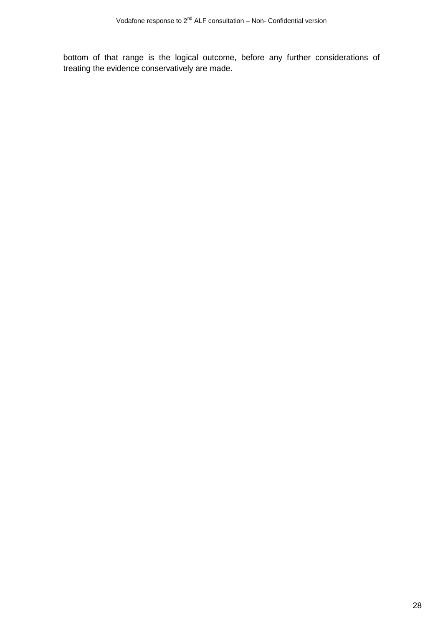bottom of that range is the logical outcome, before any further considerations of treating the evidence conservatively are made.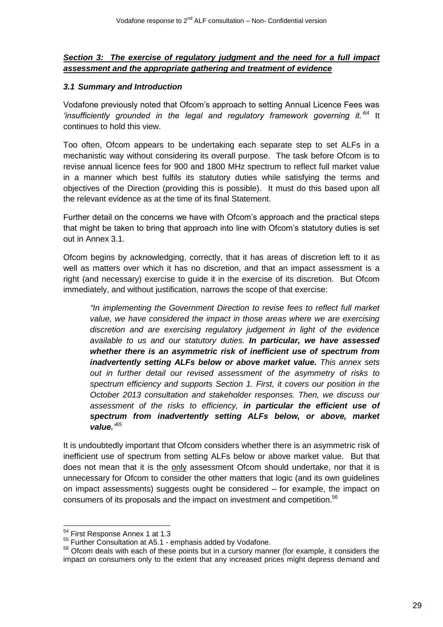# *Section 3: The exercise of regulatory judgment and the need for a full impact assessment and the appropriate gathering and treatment of evidence*

### *3.1 Summary and Introduction*

Vodafone previously noted that Ofcom's approach to setting Annual Licence Fees was *'insufficiently grounded in the legal and regulatory framework governing it.'*<sup>54</sup> It continues to hold this view.

Too often, Ofcom appears to be undertaking each separate step to set ALFs in a mechanistic way without considering its overall purpose. The task before Ofcom is to revise annual licence fees for 900 and 1800 MHz spectrum to reflect full market value in a manner which best fulfils its statutory duties while satisfying the terms and objectives of the Direction (providing this is possible). It must do this based upon all the relevant evidence as at the time of its final Statement.

Further detail on the concerns we have with Ofcom's approach and the practical steps that might be taken to bring that approach into line with Ofcom's statutory duties is set out in Annex 3.1.

Ofcom begins by acknowledging, correctly, that it has areas of discretion left to it as well as matters over which it has no discretion, and that an impact assessment is a right (and necessary) exercise to guide it in the exercise of its discretion. But Ofcom immediately, and without justification, narrows the scope of that exercise:

*"In implementing the Government Direction to revise fees to reflect full market value, we have considered the impact in those areas where we are exercising discretion and are exercising regulatory judgement in light of the evidence available to us and our statutory duties. In particular, we have assessed whether there is an asymmetric risk of inefficient use of spectrum from inadvertently setting ALFs below or above market value. This annex sets out in further detail our revised assessment of the asymmetry of risks to spectrum efficiency and supports Section 1. First, it covers our position in the October 2013 consultation and stakeholder responses. Then, we discuss our assessment of the risks to efficiency, in particular the efficient use of spectrum from inadvertently setting ALFs below, or above, market value." 55*

It is undoubtedly important that Ofcom considers whether there is an asymmetric risk of inefficient use of spectrum from setting ALFs below or above market value. But that does not mean that it is the only assessment Ofcom should undertake, nor that it is unnecessary for Ofcom to consider the other matters that logic (and its own guidelines on impact assessments) suggests ought be considered – for example, the impact on consumers of its proposals and the impact on investment and competition.<sup>56</sup>

1

<sup>&</sup>lt;sup>54</sup> First Response Annex 1 at 1.3

<sup>&</sup>lt;sup>55</sup> Further Consultation at A5.1 - emphasis added by Vodafone.

<sup>&</sup>lt;sup>56</sup> Ofcom deals with each of these points but in a cursory manner (for example, it considers the impact on consumers only to the extent that any increased prices might depress demand and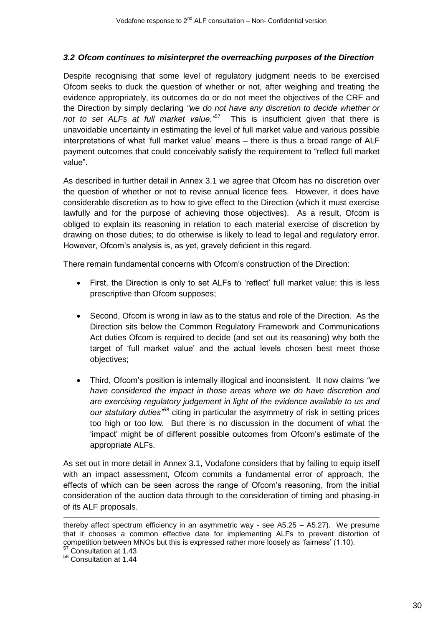### *3.2 Ofcom continues to misinterpret the overreaching purposes of the Direction*

Despite recognising that some level of regulatory judgment needs to be exercised Ofcom seeks to duck the question of whether or not, after weighing and treating the evidence appropriately, its outcomes do or do not meet the objectives of the CRF and the Direction by simply declaring *"we do not have any discretion to decide whether or*  not to set ALFs at full market value.<sup>157</sup> This is insufficient given that there is unavoidable uncertainty in estimating the level of full market value and various possible interpretations of what 'full market value' means – there is thus a broad range of ALF payment outcomes that could conceivably satisfy the requirement to "reflect full market value".

As described in further detail in Annex 3.1 we agree that Ofcom has no discretion over the question of whether or not to revise annual licence fees. However, it does have considerable discretion as to how to give effect to the Direction (which it must exercise lawfully and for the purpose of achieving those objectives). As a result, Ofcom is obliged to explain its reasoning in relation to each material exercise of discretion by drawing on those duties; to do otherwise is likely to lead to legal and regulatory error. However, Ofcom's analysis is, as yet, gravely deficient in this regard.

There remain fundamental concerns with Ofcom's construction of the Direction:

- First, the Direction is only to set ALFs to 'reflect' full market value; this is less prescriptive than Ofcom supposes;
- Second, Ofcom is wrong in law as to the status and role of the Direction. As the Direction sits below the Common Regulatory Framework and Communications Act duties Ofcom is required to decide (and set out its reasoning) why both the target of 'full market value' and the actual levels chosen best meet those objectives;
- Third, Ofcom's position is internally illogical and inconsistent. It now claims *"we have considered the impact in those areas where we do have discretion and are exercising regulatory judgement in light of the evidence available to us and our statutory duties"*<sup>58</sup> citing in particular the asymmetry of risk in setting prices too high or too low. But there is no discussion in the document of what the 'impact' might be of different possible outcomes from Ofcom's estimate of the appropriate ALFs.

As set out in more detail in Annex 3.1, Vodafone considers that by failing to equip itself with an impact assessment, Ofcom commits a fundamental error of approach, the effects of which can be seen across the range of Ofcom's reasoning, from the initial consideration of the auction data through to the consideration of timing and phasing-in of its ALF proposals.

-

thereby affect spectrum efficiency in an asymmetric way - see A5.25 – A5.27). We presume that it chooses a common effective date for implementing ALFs to prevent distortion of competition between MNOs but this is expressed rather more loosely as 'fairness' (1.10).

<sup>&</sup>lt;sup>57</sup> Consultation at 1.43

<sup>58</sup> Consultation at 1.44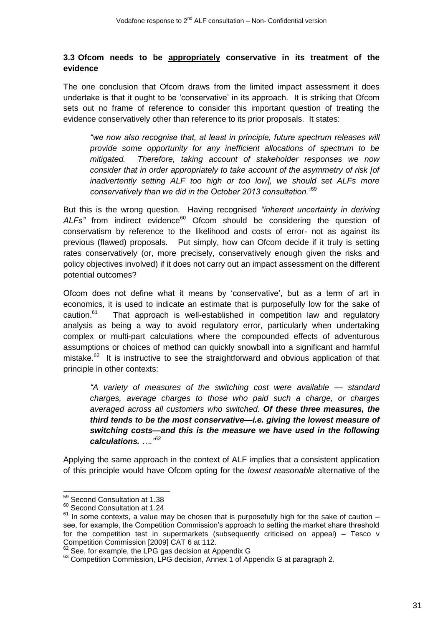### **3.3 Ofcom needs to be appropriately conservative in its treatment of the evidence**

The one conclusion that Ofcom draws from the limited impact assessment it does undertake is that it ought to be 'conservative' in its approach. It is striking that Ofcom sets out no frame of reference to consider this important question of treating the evidence conservatively other than reference to its prior proposals. It states:

*"we now also recognise that, at least in principle, future spectrum releases will provide some opportunity for any inefficient allocations of spectrum to be mitigated. Therefore, taking account of stakeholder responses we now consider that in order appropriately to take account of the asymmetry of risk [of inadvertently setting ALF too high or too low], we should set ALFs more conservatively than we did in the October 2013 consultation."*<sup>59</sup>

But this is the wrong question. Having recognised *"inherent uncertainty in deriving*  ALFs" from indirect evidence<sup>60</sup> Ofcom should be considering the question of conservatism by reference to the likelihood and costs of error- not as against its previous (flawed) proposals. Put simply, how can Ofcom decide if it truly is setting rates conservatively (or, more precisely, conservatively enough given the risks and policy objectives involved) if it does not carry out an impact assessment on the different potential outcomes?

Ofcom does not define what it means by 'conservative', but as a term of art in economics, it is used to indicate an estimate that is purposefully low for the sake of caution. $61$  That approach is well-established in competition law and regulatory analysis as being a way to avoid regulatory error, particularly when undertaking complex or multi-part calculations where the compounded effects of adventurous assumptions or choices of method can quickly snowball into a significant and harmful mistake. $62$  It is instructive to see the straightforward and obvious application of that principle in other contexts:

*"A variety of measures of the switching cost were available — standard charges, average charges to those who paid such a charge, or charges averaged across all customers who switched. Of these three measures, the third tends to be the most conservative—i.e. giving the lowest measure of switching costs—and this is the measure we have used in the following calculations. …." 63*

Applying the same approach in the context of ALF implies that a consistent application of this principle would have Ofcom opting for the *lowest reasonable* alternative of the

1

<sup>&</sup>lt;sup>59</sup> Second Consultation at 1.38

<sup>60</sup> Second Consultation at 1.24

 $61$  In some contexts, a value may be chosen that is purposefully high for the sake of caution  $$ see, for example, the Competition Commission's approach to setting the market share threshold for the competition test in supermarkets (subsequently criticised on appeal) – Tesco v Competition Commission [2009] CAT 6 at 112.

 $62$  See, for example, the LPG gas decision at Appendix G

<sup>&</sup>lt;sup>63</sup> Competition Commission, LPG decision, Annex 1 of Appendix G at paragraph 2.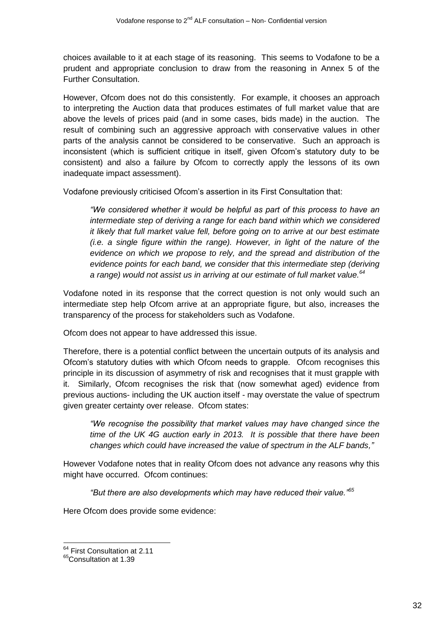choices available to it at each stage of its reasoning. This seems to Vodafone to be a prudent and appropriate conclusion to draw from the reasoning in Annex 5 of the Further Consultation.

However, Ofcom does not do this consistently. For example, it chooses an approach to interpreting the Auction data that produces estimates of full market value that are above the levels of prices paid (and in some cases, bids made) in the auction. The result of combining such an aggressive approach with conservative values in other parts of the analysis cannot be considered to be conservative. Such an approach is inconsistent (which is sufficient critique in itself, given Ofcom's statutory duty to be consistent) and also a failure by Ofcom to correctly apply the lessons of its own inadequate impact assessment).

Vodafone previously criticised Ofcom's assertion in its First Consultation that:

*"We considered whether it would be helpful as part of this process to have an intermediate step of deriving a range for each band within which we considered it likely that full market value fell, before going on to arrive at our best estimate (i.e. a single figure within the range). However, in light of the nature of the evidence on which we propose to rely, and the spread and distribution of the evidence points for each band, we consider that this intermediate step (deriving a range) would not assist us in arriving at our estimate of full market value.<sup>64</sup>*

Vodafone noted in its response that the correct question is not only would such an intermediate step help Ofcom arrive at an appropriate figure, but also, increases the transparency of the process for stakeholders such as Vodafone.

Ofcom does not appear to have addressed this issue.

Therefore, there is a potential conflict between the uncertain outputs of its analysis and Ofcom's statutory duties with which Ofcom needs to grapple. Ofcom recognises this principle in its discussion of asymmetry of risk and recognises that it must grapple with it. Similarly, Ofcom recognises the risk that (now somewhat aged) evidence from previous auctions- including the UK auction itself - may overstate the value of spectrum given greater certainty over release. Ofcom states:

*"We recognise the possibility that market values may have changed since the time of the UK 4G auction early in 2013. It is possible that there have been changes which could have increased the value of spectrum in the ALF bands,"*

However Vodafone notes that in reality Ofcom does not advance any reasons why this might have occurred. Ofcom continues:

*"But there are also developments which may have reduced their value."<sup>65</sup>*

Here Ofcom does provide some evidence:

<sup>&</sup>lt;sup>64</sup> First Consultation at 2.11

<sup>&</sup>lt;sup>65</sup>Consultation at 1.39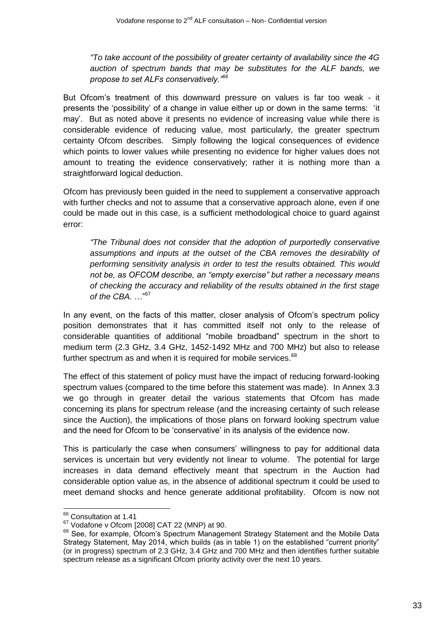*"To take account of the possibility of greater certainty of availability since the 4G auction of spectrum bands that may be substitutes for the ALF bands, we propose to set ALFs conservatively."<sup>66</sup>*

But Ofcom's treatment of this downward pressure on values is far too weak - it presents the 'possibility' of a change in value either up or down in the same terms: 'it may'. But as noted above it presents no evidence of increasing value while there is considerable evidence of reducing value, most particularly, the greater spectrum certainty Ofcom describes. Simply following the logical consequences of evidence which points to lower values while presenting no evidence for higher values does not amount to treating the evidence conservatively; rather it is nothing more than a straightforward logical deduction.

Ofcom has previously been guided in the need to supplement a conservative approach with further checks and not to assume that a conservative approach alone, even if one could be made out in this case, is a sufficient methodological choice to guard against error:

*"The Tribunal does not consider that the adoption of purportedly conservative assumptions and inputs at the outset of the CBA removes the desirability of performing sensitivity analysis in order to test the results obtained. This would not be, as OFCOM describe, an "empty exercise" but rather a necessary means of checking the accuracy and reliability of the results obtained in the first stage of the CBA.* …" 67

In any event, on the facts of this matter, closer analysis of Ofcom's spectrum policy position demonstrates that it has committed itself not only to the release of considerable quantities of additional "mobile broadband" spectrum in the short to medium term (2.3 GHz, 3.4 GHz, 1452-1492 MHz and 700 MHz) but also to release further spectrum as and when it is required for mobile services.<sup>68</sup>

The effect of this statement of policy must have the impact of reducing forward-looking spectrum values (compared to the time before this statement was made). In Annex 3.3 we go through in greater detail the various statements that Ofcom has made concerning its plans for spectrum release (and the increasing certainty of such release since the Auction), the implications of those plans on forward looking spectrum value and the need for Ofcom to be 'conservative' in its analysis of the evidence now.

This is particularly the case when consumers' willingness to pay for additional data services is uncertain but very evidently not linear to volume. The potential for large increases in data demand effectively meant that spectrum in the Auction had considerable option value as, in the absence of additional spectrum it could be used to meet demand shocks and hence generate additional profitability. Ofcom is now not

 $\overline{1}$ 

<sup>&</sup>lt;sup>66</sup> Consultation at 1.41

 $67$  Vodafone v Ofcom [2008] CAT 22 (MNP) at 90.

<sup>&</sup>lt;sup>68</sup> See, for example, Ofcom's Spectrum Management Strategy Statement and the Mobile Data Strategy Statement, May 2014, which builds (as in table 1) on the established "current priority" (or in progress) spectrum of 2.3 GHz, 3.4 GHz and 700 MHz and then identifies further suitable spectrum release as a significant Ofcom priority activity over the next 10 years.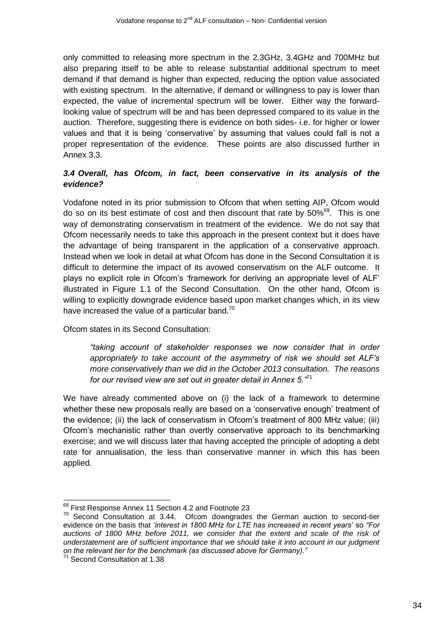only committed to releasing more spectrum in the 2.3GHz, 3.4GHz and 700MHz but also preparing itself to be able to release substantial additional spectrum to meet demand if that demand is higher than expected, reducing the option value associated with existing spectrum. In the alternative, if demand or willingness to pay is lower than expected, the value of incremental spectrum will be lower. Either way the forwardlooking value of spectrum will be and has been depressed compared to its value in the auction. Therefore, suggesting there is evidence on both sides- i.e. for higher or lower values and that it is being 'conservative' by assuming that values could fall is not a proper representation of the evidence. These points are also discussed further in Annex 3.3.

# *3.4 Overall, has Ofcom, in fact, been conservative in its analysis of the evidence?*

Vodafone noted in its prior submission to Ofcom that when setting AIP, Ofcom would do so on its best estimate of cost and then discount that rate by 50%<sup>69</sup>. This is one way of demonstrating conservatism in treatment of the evidence. We do not say that Ofcom necessarily needs to take this approach in the present context but it does have the advantage of being transparent in the application of a conservative approach. Instead when we look in detail at what Ofcom has done in the Second Consultation it is difficult to determine the impact of its avowed conservatism on the ALF outcome. It plays no explicit role in Ofcom's 'framework for deriving an appropriate level of ALF' illustrated in Figure 1.1 of the Second Consultation. On the other hand, Ofcom is willing to explicitly downgrade evidence based upon market changes which, in its view have increased the value of a particular band. $70$ 

Ofcom states in its Second Consultation:

*"taking account of stakeholder responses we now consider that in order appropriately to take account of the asymmetry of risk we should set ALF's more conservatively than we did in the October 2013 consultation. The reasons for our revised view are set out in greater detail in Annex 5."*<sup>71</sup>

We have already commented above on (i) the lack of a framework to determine whether these new proposals really are based on a 'conservative enough' treatment of the evidence; (ii) the lack of conservatism in Ofcom's treatment of 800 MHz value; (iii) Ofcom's mechanistic rather than overtly conservative approach to its benchmarking exercise; and we will discuss later that having accepted the principle of adopting a debt rate for annualisation, the less than conservative manner in which this has been applied.

 $\overline{a}$ <sup>69</sup> First Response Annex 11 Section 4.2 and Footnote 23

 $70$  Second Consultation at 3.44. Ofcom downgrades the German auction to second-tier evidence on the basis that *'interest in 1800 MHz for LTE has increased in recent years*' so *"For auctions of 1800 MHz before 2011, we consider that the extent and scale of the risk of understatement are of sufficient importance that we should take it into account in our judgment on the relevant tier for the benchmark (as discussed above for Germany)."*

<sup>&</sup>lt;sup>71</sup> Second Consultation at 1.38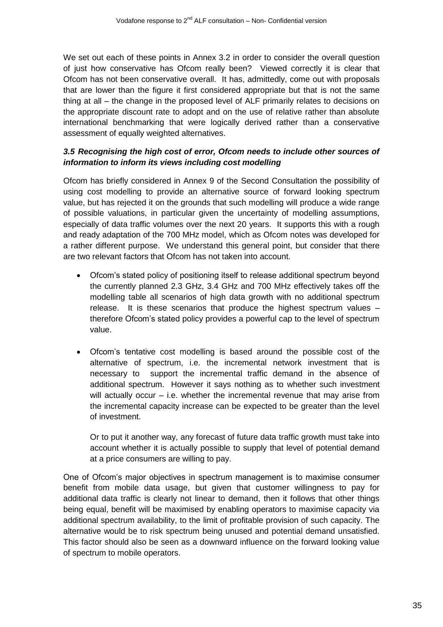We set out each of these points in Annex 3.2 in order to consider the overall question of just how conservative has Ofcom really been? Viewed correctly it is clear that Ofcom has not been conservative overall. It has, admittedly, come out with proposals that are lower than the figure it first considered appropriate but that is not the same thing at all – the change in the proposed level of ALF primarily relates to decisions on the appropriate discount rate to adopt and on the use of relative rather than absolute international benchmarking that were logically derived rather than a conservative assessment of equally weighted alternatives.

# *3.5 Recognising the high cost of error, Ofcom needs to include other sources of information to inform its views including cost modelling*

Ofcom has briefly considered in Annex 9 of the Second Consultation the possibility of using cost modelling to provide an alternative source of forward looking spectrum value, but has rejected it on the grounds that such modelling will produce a wide range of possible valuations, in particular given the uncertainty of modelling assumptions, especially of data traffic volumes over the next 20 years. It supports this with a rough and ready adaptation of the 700 MHz model, which as Ofcom notes was developed for a rather different purpose. We understand this general point, but consider that there are two relevant factors that Ofcom has not taken into account.

- Ofcom's stated policy of positioning itself to release additional spectrum beyond the currently planned 2.3 GHz, 3.4 GHz and 700 MHz effectively takes off the modelling table all scenarios of high data growth with no additional spectrum release. It is these scenarios that produce the highest spectrum values – therefore Ofcom's stated policy provides a powerful cap to the level of spectrum value.
- Ofcom's tentative cost modelling is based around the possible cost of the alternative of spectrum, i.e. the incremental network investment that is necessary to support the incremental traffic demand in the absence of additional spectrum. However it says nothing as to whether such investment will actually occur  $-$  i.e. whether the incremental revenue that may arise from the incremental capacity increase can be expected to be greater than the level of investment.

Or to put it another way, any forecast of future data traffic growth must take into account whether it is actually possible to supply that level of potential demand at a price consumers are willing to pay.

One of Ofcom's major objectives in spectrum management is to maximise consumer benefit from mobile data usage, but given that customer willingness to pay for additional data traffic is clearly not linear to demand, then it follows that other things being equal, benefit will be maximised by enabling operators to maximise capacity via additional spectrum availability, to the limit of profitable provision of such capacity. The alternative would be to risk spectrum being unused and potential demand unsatisfied. This factor should also be seen as a downward influence on the forward looking value of spectrum to mobile operators.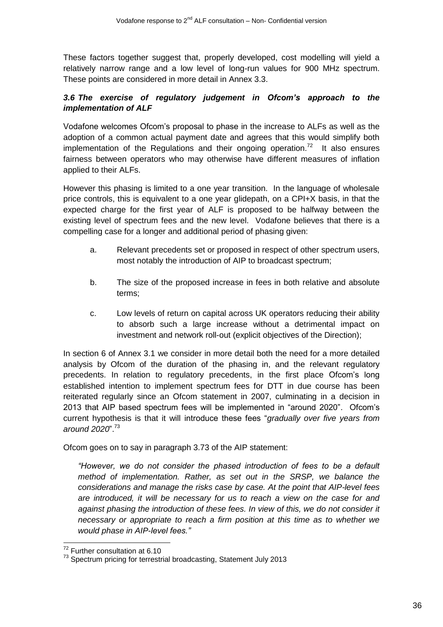These factors together suggest that, properly developed, cost modelling will yield a relatively narrow range and a low level of long-run values for 900 MHz spectrum. These points are considered in more detail in Annex 3.3.

# *3.6 The exercise of regulatory judgement in Ofcom's approach to the implementation of ALF*

Vodafone welcomes Ofcom's proposal to phase in the increase to ALFs as well as the adoption of a common actual payment date and agrees that this would simplify both implementation of the Regulations and their ongoing operation.<sup>72</sup> It also ensures fairness between operators who may otherwise have different measures of inflation applied to their ALFs.

However this phasing is limited to a one year transition. In the language of wholesale price controls, this is equivalent to a one year glidepath, on a CPI+X basis, in that the expected charge for the first year of ALF is proposed to be halfway between the existing level of spectrum fees and the new level. Vodafone believes that there is a compelling case for a longer and additional period of phasing given:

- a. Relevant precedents set or proposed in respect of other spectrum users, most notably the introduction of AIP to broadcast spectrum;
- b. The size of the proposed increase in fees in both relative and absolute terms;
- c. Low levels of return on capital across UK operators reducing their ability to absorb such a large increase without a detrimental impact on investment and network roll-out (explicit objectives of the Direction);

In section 6 of Annex 3.1 we consider in more detail both the need for a more detailed analysis by Ofcom of the duration of the phasing in, and the relevant regulatory precedents. In relation to regulatory precedents, in the first place Ofcom's long established intention to implement spectrum fees for DTT in due course has been reiterated regularly since an Ofcom statement in 2007, culminating in a decision in 2013 that AIP based spectrum fees will be implemented in "around 2020". Ofcom's current hypothesis is that it will introduce these fees "*gradually over five years from around 2020*". 73

Ofcom goes on to say in paragraph 3.73 of the AIP statement:

*"However, we do not consider the phased introduction of fees to be a default method of implementation. Rather, as set out in the SRSP, we balance the considerations and manage the risks case by case. At the point that AIP-level fees are introduced, it will be necessary for us to reach a view on the case for and against phasing the introduction of these fees. In view of this, we do not consider it necessary or appropriate to reach a firm position at this time as to whether we would phase in AIP-level fees."*

<sup>-</sup><sup>72</sup> Further consultation at 6.10

 $73$  Spectrum pricing for terrestrial broadcasting, Statement July 2013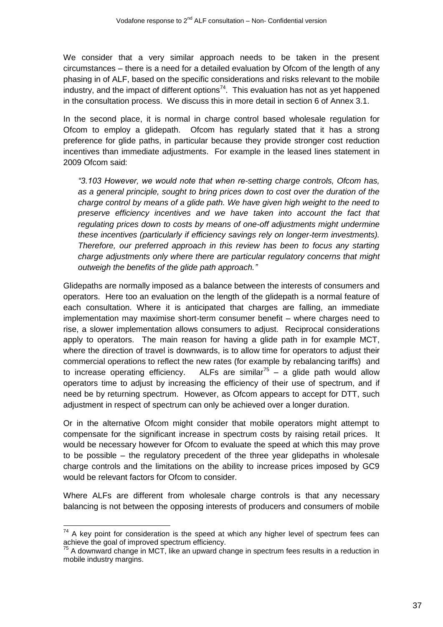We consider that a very similar approach needs to be taken in the present circumstances – there is a need for a detailed evaluation by Ofcom of the length of any phasing in of ALF, based on the specific considerations and risks relevant to the mobile industry, and the impact of different options<sup>74</sup>. This evaluation has not as yet happened in the consultation process. We discuss this in more detail in section 6 of Annex 3.1.

In the second place, it is normal in charge control based wholesale regulation for Ofcom to employ a glidepath. Ofcom has regularly stated that it has a strong preference for glide paths, in particular because they provide stronger cost reduction incentives than immediate adjustments. For example in the leased lines statement in 2009 Ofcom said:

*"3.103 However, we would note that when re-setting charge controls, Ofcom has, as a general principle, sought to bring prices down to cost over the duration of the charge control by means of a glide path. We have given high weight to the need to preserve efficiency incentives and we have taken into account the fact that regulating prices down to costs by means of one-off adjustments might undermine these incentives (particularly if efficiency savings rely on longer-term investments). Therefore, our preferred approach in this review has been to focus any starting charge adjustments only where there are particular regulatory concerns that might outweigh the benefits of the glide path approach."*

Glidepaths are normally imposed as a balance between the interests of consumers and operators. Here too an evaluation on the length of the glidepath is a normal feature of each consultation. Where it is anticipated that charges are falling, an immediate implementation may maximise short-term consumer benefit – where charges need to rise, a slower implementation allows consumers to adjust. Reciprocal considerations apply to operators. The main reason for having a glide path in for example MCT, where the direction of travel is downwards, is to allow time for operators to adjust their commercial operations to reflect the new rates (for example by rebalancing tariffs) and to increase operating efficiency. ALFs are similar<sup>75</sup> – a glide path would allow operators time to adjust by increasing the efficiency of their use of spectrum, and if need be by returning spectrum. However, as Ofcom appears to accept for DTT, such adjustment in respect of spectrum can only be achieved over a longer duration.

Or in the alternative Ofcom might consider that mobile operators might attempt to compensate for the significant increase in spectrum costs by raising retail prices. It would be necessary however for Ofcom to evaluate the speed at which this may prove to be possible – the regulatory precedent of the three year glidepaths in wholesale charge controls and the limitations on the ability to increase prices imposed by GC9 would be relevant factors for Ofcom to consider.

Where ALFs are different from wholesale charge controls is that any necessary balancing is not between the opposing interests of producers and consumers of mobile

1

 $74$  A key point for consideration is the speed at which any higher level of spectrum fees can achieve the goal of improved spectrum efficiency.

 $75$  A downward change in MCT, like an upward change in spectrum fees results in a reduction in mobile industry margins.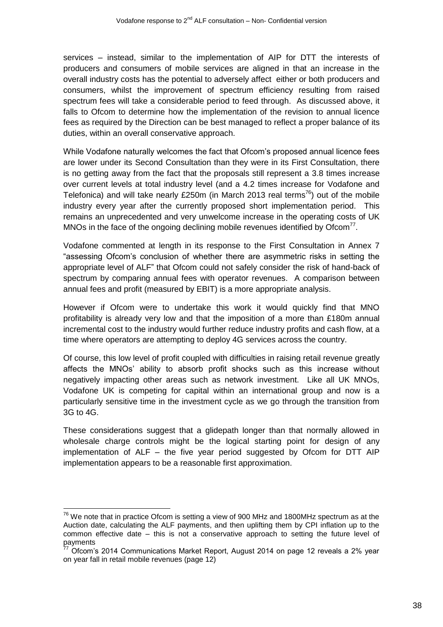services – instead, similar to the implementation of AIP for DTT the interests of producers and consumers of mobile services are aligned in that an increase in the overall industry costs has the potential to adversely affect either or both producers and consumers, whilst the improvement of spectrum efficiency resulting from raised spectrum fees will take a considerable period to feed through. As discussed above, it falls to Ofcom to determine how the implementation of the revision to annual licence fees as required by the Direction can be best managed to reflect a proper balance of its duties, within an overall conservative approach.

While Vodafone naturally welcomes the fact that Ofcom's proposed annual licence fees are lower under its Second Consultation than they were in its First Consultation, there is no getting away from the fact that the proposals still represent a 3.8 times increase over current levels at total industry level (and a 4.2 times increase for Vodafone and Telefonica) and will take nearly £250m (in March 2013 real terms<sup>76</sup>) out of the mobile industry every year after the currently proposed short implementation period. This remains an unprecedented and very unwelcome increase in the operating costs of UK MNOs in the face of the ongoing declining mobile revenues identified by Ofcom<sup>77</sup>.

Vodafone commented at length in its response to the First Consultation in Annex 7 "assessing Ofcom's conclusion of whether there are asymmetric risks in setting the appropriate level of ALF" that Ofcom could not safely consider the risk of hand-back of spectrum by comparing annual fees with operator revenues. A comparison between annual fees and profit (measured by EBIT) is a more appropriate analysis.

However if Ofcom were to undertake this work it would quickly find that MNO profitability is already very low and that the imposition of a more than £180m annual incremental cost to the industry would further reduce industry profits and cash flow, at a time where operators are attempting to deploy 4G services across the country.

Of course, this low level of profit coupled with difficulties in raising retail revenue greatly affects the MNOs' ability to absorb profit shocks such as this increase without negatively impacting other areas such as network investment. Like all UK MNOs, Vodafone UK is competing for capital within an international group and now is a particularly sensitive time in the investment cycle as we go through the transition from 3G to 4G.

These considerations suggest that a glidepath longer than that normally allowed in wholesale charge controls might be the logical starting point for design of any implementation of ALF – the five year period suggested by Ofcom for DTT AIP implementation appears to be a reasonable first approximation.

1

 $^{76}$  We note that in practice Ofcom is setting a view of 900 MHz and 1800MHz spectrum as at the Auction date, calculating the ALF payments, and then uplifting them by CPI inflation up to the common effective date – this is not a conservative approach to setting the future level of payments

 $7\overline{2}$  Ofcom's 2014 Communications Market Report, August 2014 on page 12 reveals a 2% year on year fall in retail mobile revenues (page 12)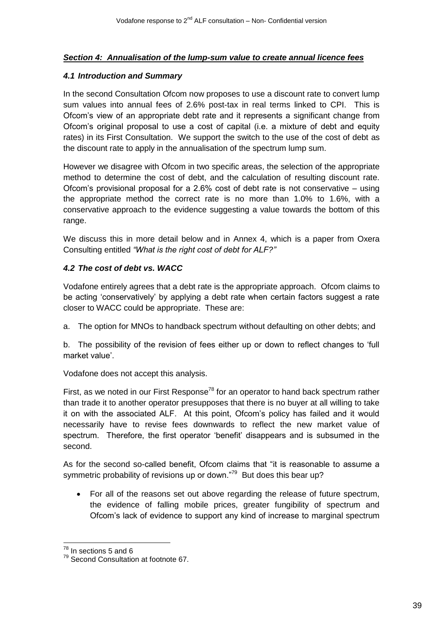# *Section 4: Annualisation of the lump-sum value to create annual licence fees*

### *4.1 Introduction and Summary*

In the second Consultation Ofcom now proposes to use a discount rate to convert lump sum values into annual fees of 2.6% post-tax in real terms linked to CPI. This is Ofcom's view of an appropriate debt rate and it represents a significant change from Ofcom's original proposal to use a cost of capital (i.e. a mixture of debt and equity rates) in its First Consultation. We support the switch to the use of the cost of debt as the discount rate to apply in the annualisation of the spectrum lump sum.

However we disagree with Ofcom in two specific areas, the selection of the appropriate method to determine the cost of debt, and the calculation of resulting discount rate. Ofcom's provisional proposal for a 2.6% cost of debt rate is not conservative – using the appropriate method the correct rate is no more than 1.0% to 1.6%, with a conservative approach to the evidence suggesting a value towards the bottom of this range.

We discuss this in more detail below and in Annex 4, which is a paper from Oxera Consulting entitled *"What is the right cost of debt for ALF?"*

# *4.2 The cost of debt vs. WACC*

Vodafone entirely agrees that a debt rate is the appropriate approach. Ofcom claims to be acting 'conservatively' by applying a debt rate when certain factors suggest a rate closer to WACC could be appropriate. These are:

a. The option for MNOs to handback spectrum without defaulting on other debts; and

b. The possibility of the revision of fees either up or down to reflect changes to 'full market value'.

Vodafone does not accept this analysis.

First, as we noted in our First Response<sup>78</sup> for an operator to hand back spectrum rather than trade it to another operator presupposes that there is no buyer at all willing to take it on with the associated ALF. At this point, Ofcom's policy has failed and it would necessarily have to revise fees downwards to reflect the new market value of spectrum. Therefore, the first operator 'benefit' disappears and is subsumed in the second.

As for the second so-called benefit, Ofcom claims that "it is reasonable to assume a symmetric probability of revisions up or down."<sup>79</sup> But does this bear up?

 For all of the reasons set out above regarding the release of future spectrum, the evidence of falling mobile prices, greater fungibility of spectrum and Ofcom's lack of evidence to support any kind of increase to marginal spectrum

<sup>-</sup> $78$  In sections 5 and 6

<sup>79</sup> Second Consultation at footnote 67.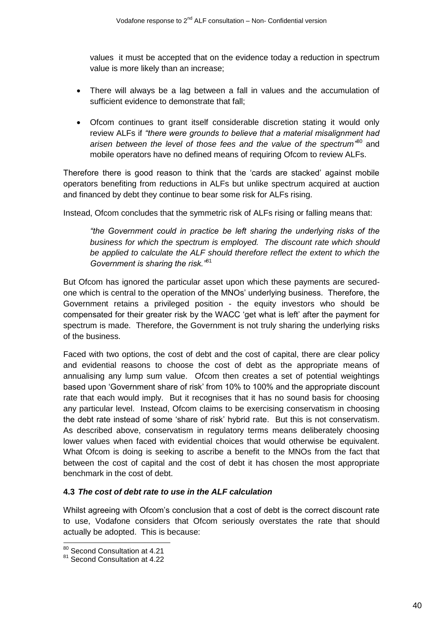values it must be accepted that on the evidence today a reduction in spectrum value is more likely than an increase;

- There will always be a lag between a fall in values and the accumulation of sufficient evidence to demonstrate that fall;
- Ofcom continues to grant itself considerable discretion stating it would only review ALFs if *"there were grounds to believe that a material misalignment had arisen between the level of those fees and the value of the spectrum"* <sup>80</sup> and mobile operators have no defined means of requiring Ofcom to review ALFs.

Therefore there is good reason to think that the 'cards are stacked' against mobile operators benefiting from reductions in ALFs but unlike spectrum acquired at auction and financed by debt they continue to bear some risk for ALFs rising.

Instead, Ofcom concludes that the symmetric risk of ALFs rising or falling means that:

*"the Government could in practice be left sharing the underlying risks of the business for which the spectrum is employed. The discount rate which should be applied to calculate the ALF should therefore reflect the extent to which the Government is sharing the risk."*<sup>81</sup>

But Ofcom has ignored the particular asset upon which these payments are securedone which is central to the operation of the MNOs' underlying business. Therefore, the Government retains a privileged position - the equity investors who should be compensated for their greater risk by the WACC 'get what is left' after the payment for spectrum is made. Therefore, the Government is not truly sharing the underlying risks of the business.

Faced with two options, the cost of debt and the cost of capital, there are clear policy and evidential reasons to choose the cost of debt as the appropriate means of annualising any lump sum value. Ofcom then creates a set of potential weightings based upon 'Government share of risk' from 10% to 100% and the appropriate discount rate that each would imply. But it recognises that it has no sound basis for choosing any particular level. Instead, Ofcom claims to be exercising conservatism in choosing the debt rate instead of some 'share of risk' hybrid rate. But this is not conservatism. As described above, conservatism in regulatory terms means deliberately choosing lower values when faced with evidential choices that would otherwise be equivalent. What Ofcom is doing is seeking to ascribe a benefit to the MNOs from the fact that between the cost of capital and the cost of debt it has chosen the most appropriate benchmark in the cost of debt.

# **4.3** *The cost of debt rate to use in the ALF calculation*

Whilst agreeing with Ofcom's conclusion that a cost of debt is the correct discount rate to use, Vodafone considers that Ofcom seriously overstates the rate that should actually be adopted. This is because:

 <sup>80</sup> Second Consultation at 4.21

<sup>81</sup> Second Consultation at 4.22